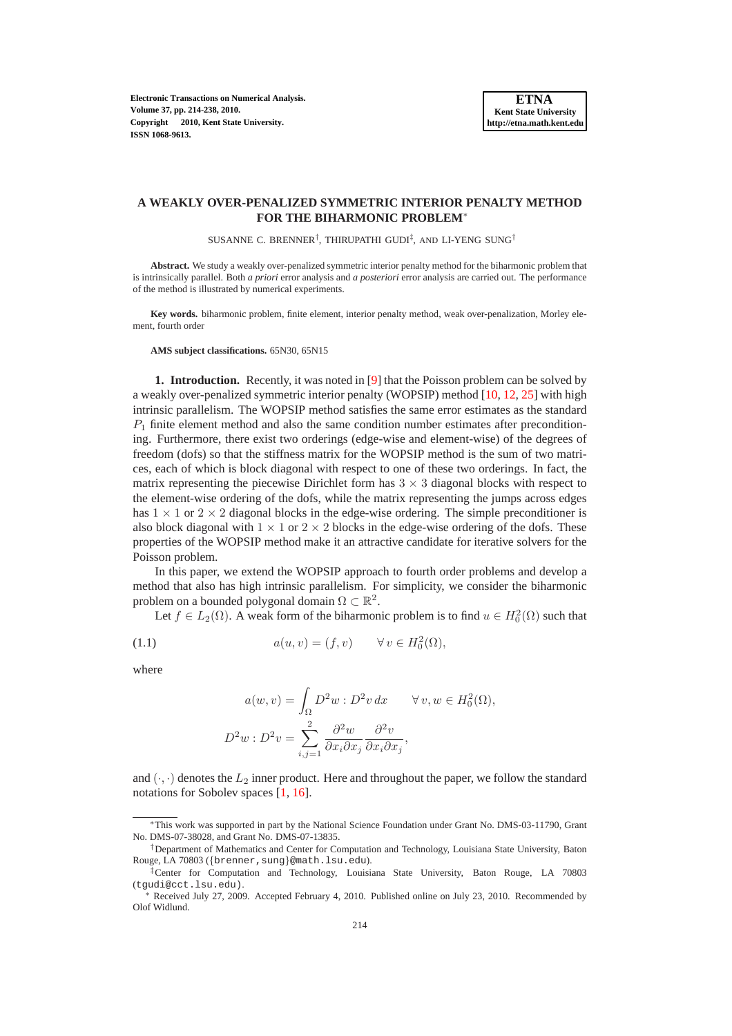**Electronic Transactions on Numerical Analysis. Volume 37, pp. 214-238, 2010. Copyright 2010, Kent State University. ISSN 1068-9613.**

### **A WEAKLY OVER-PENALIZED SYMMETRIC INTERIOR PENALTY METHOD FOR THE BIHARMONIC PROBLEM**<sup>∗</sup>

SUSANNE C. BRENNER<sup>†</sup>, THIRUPATHI GUDI<sup>‡</sup>, AND LI-YENG SUNG<sup>†</sup>

**Abstract.** We study a weakly over-penalized symmetric interior penalty method for the biharmonic problem that is intrinsically parallel. Both *a priori* error analysis and *a posteriori* error analysis are carried out. The performance of the method is illustrated by numerical experiments.

**Key words.** biharmonic problem, finite element, interior penalty method, weak over-penalization, Morley element, fourth order

**AMS subject classifications.** 65N30, 65N15

**1. Introduction.** Recently, it was noted in [\[9\]](#page-23-0) that the Poisson problem can be solved by a weakly over-penalized symmetric interior penalty (WOPSIP) method [\[10](#page-23-1), [12](#page-23-2), [25\]](#page-24-0) with high intrinsic parallelism. The WOPSIP method satisfies the same error estimates as the standard  $P_1$  finite element method and also the same condition number estimates after preconditioning. Furthermore, there exist two orderings (edge-wise and element-wise) of the degrees of freedom (dofs) so that the stiffness matrix for the WOPSIP method is the sum of two matrices, each of which is block diagonal with respect to one of these two orderings. In fact, the matrix representing the piecewise Dirichlet form has  $3 \times 3$  diagonal blocks with respect to the element-wise ordering of the dofs, while the matrix representing the jumps across edges has  $1 \times 1$  or  $2 \times 2$  diagonal blocks in the edge-wise ordering. The simple preconditioner is also block diagonal with  $1 \times 1$  or  $2 \times 2$  blocks in the edge-wise ordering of the dofs. These properties of the WOPSIP method make it an attractive candidate for iterative solvers for the Poisson problem.

In this paper, we extend the WOPSIP approach to fourth order problems and develop a method that also has high intrinsic parallelism. For simplicity, we consider the biharmonic problem on a bounded polygonal domain  $\Omega \subset \mathbb{R}^2$ .

Let  $f \in L_2(\Omega)$ . A weak form of the biharmonic problem is to find  $u \in H_0^2(\Omega)$  such that

(1.1) 
$$
a(u,v) = (f,v) \qquad \forall v \in H_0^2(\Omega),
$$

where

<span id="page-0-0"></span>
$$
a(w, v) = \int_{\Omega} D^2 w : D^2 v \, dx \qquad \forall v, w \in H_0^2(\Omega),
$$
  

$$
D^2 w : D^2 v = \sum_{i,j=1}^2 \frac{\partial^2 w}{\partial x_i \partial x_j} \frac{\partial^2 v}{\partial x_i \partial x_j},
$$

and  $(\cdot, \cdot)$  denotes the  $L_2$  inner product. Here and throughout the paper, we follow the standard notations for Sobolev spaces [\[1,](#page-23-3) [16\]](#page-23-4).

<sup>∗</sup>This work was supported in part by the National Science Foundation under Grant No. DMS-03-11790, Grant No. DMS-07-38028, and Grant No. DMS-07-13835.

<sup>†</sup>Department of Mathematics and Center for Computation and Technology, Louisiana State University, Baton Rouge, LA 70803 ({brenner,sung}@math.lsu.edu).

<sup>‡</sup>Center for Computation and Technology, Louisiana State University, Baton Rouge, LA 70803 (tgudi@cct.lsu.edu).

<sup>∗</sup> Received July 27, 2009. Accepted February 4, 2010. Published online on July 23, 2010. Recommended by Olof Widlund.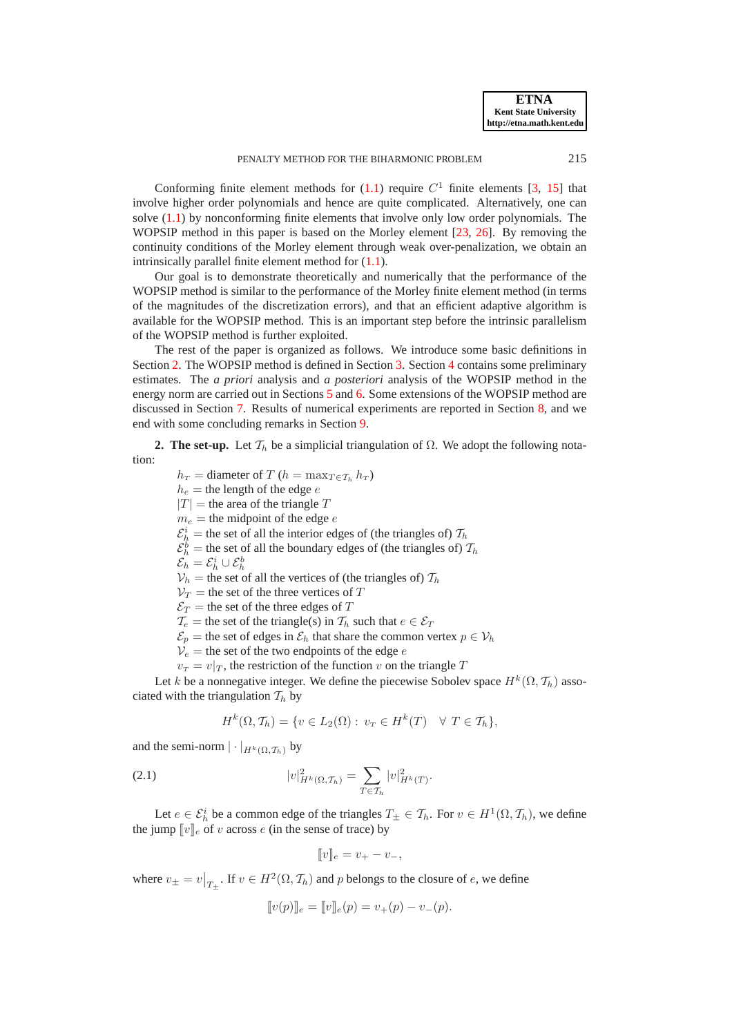Conforming finite element methods for  $(1.1)$  require  $C<sup>1</sup>$  finite elements [\[3](#page-23-5), [15](#page-23-6)] that involve higher order polynomials and hence are quite complicated. Alternatively, one can solve  $(1.1)$  by nonconforming finite elements that involve only low order polynomials. The WOPSIP method in this paper is based on the Morley element [\[23,](#page-23-7) [26\]](#page-24-1). By removing the continuity conditions of the Morley element through weak over-penalization, we obtain an intrinsically parallel finite element method for [\(1.1\)](#page-0-0).

Our goal is to demonstrate theoretically and numerically that the performance of the WOPSIP method is similar to the performance of the Morley finite element method (in terms of the magnitudes of the discretization errors), and that an efficient adaptive algorithm is available for the WOPSIP method. This is an important step before the intrinsic parallelism of the WOPSIP method is further exploited.

The rest of the paper is organized as follows. We introduce some basic definitions in Section [2.](#page-1-0) The WOPSIP method is defined in Section [3.](#page-3-0) Section [4](#page-6-0) contains some preliminary estimates. The *a priori* analysis and *a posteriori* analysis of the WOPSIP method in the energy norm are carried out in Sections [5](#page-9-0) and [6.](#page-12-0) Some extensions of the WOPSIP method are discussed in Section [7.](#page-14-0) Results of numerical experiments are reported in Section [8,](#page-20-0) and we end with some concluding remarks in Section [9.](#page-22-0)

<span id="page-1-0"></span>**2. The set-up.** Let  $\mathcal{T}_h$  be a simplicial triangulation of  $\Omega$ . We adopt the following notation:

 $h_T =$  diameter of T ( $h = \max_{T \in \mathcal{T}_h} h_T$ )  $h_e$  = the length of the edge e  $|T|$  = the area of the triangle T  $m_e$  = the midpoint of the edge e  $\mathcal{E}_h^i$  = the set of all the interior edges of (the triangles of)  $\mathcal{T}_h$  $\mathcal{E}_h^b$  = the set of all the boundary edges of (the triangles of)  $\mathcal{T}_h$  $\mathcal{E}_h = \mathcal{E}_h^i \cup \mathcal{E}_h^b$  $V_h$  = the set of all the vertices of (the triangles of)  $T_h$  $V_T$  = the set of the three vertices of T

 $\mathcal{E}_T$  = the set of the three edges of T

 $\overline{T}_e$  = the set of the triangle(s) in  $\overline{T}_h$  such that  $e \in \mathcal{E}_T$ 

 $\mathcal{E}_p$  = the set of edges in  $\mathcal{E}_h$  that share the common vertex  $p \in \mathcal{V}_h$ 

 $V_e$  = the set of the two endpoints of the edge e

 $v_T = v|_T$ , the restriction of the function v on the triangle T

Let k be a nonnegative integer. We define the piecewise Sobolev space  $H^k(\Omega, \mathcal{T}_h)$  associated with the triangulation  $\mathcal{T}_h$  by

<span id="page-1-1"></span>
$$
H^k(\Omega, \mathcal{T}_h) = \{ v \in L_2(\Omega) : v_T \in H^k(T) \quad \forall \ T \in \mathcal{T}_h \},
$$

and the semi-norm  $|\cdot|_{H^k(\Omega, \mathcal{T}_h)}$  by

(2.1) 
$$
|v|_{H^k(\Omega, \mathcal{T}_h)}^2 = \sum_{T \in \mathcal{T}_h} |v|_{H^k(T)}^2.
$$

Let  $e \in \mathcal{E}_h^i$  be a common edge of the triangles  $T_\pm \in \mathcal{T}_h$ . For  $v \in H^1(\Omega, \mathcal{T}_h)$ , we define the jump  $[v]_e$  of v across e (in the sense of trace) by

$$
[\![v]\!]_e = v_+ - v_-,
$$

where  $v_{\pm} = v|_{T_{\pm}}$ . If  $v \in H^2(\Omega, \mathcal{T}_h)$  and p belongs to the closure of e, we define

$$
[v(p)]_e = [v]_e(p) = v_+(p) - v_-(p).
$$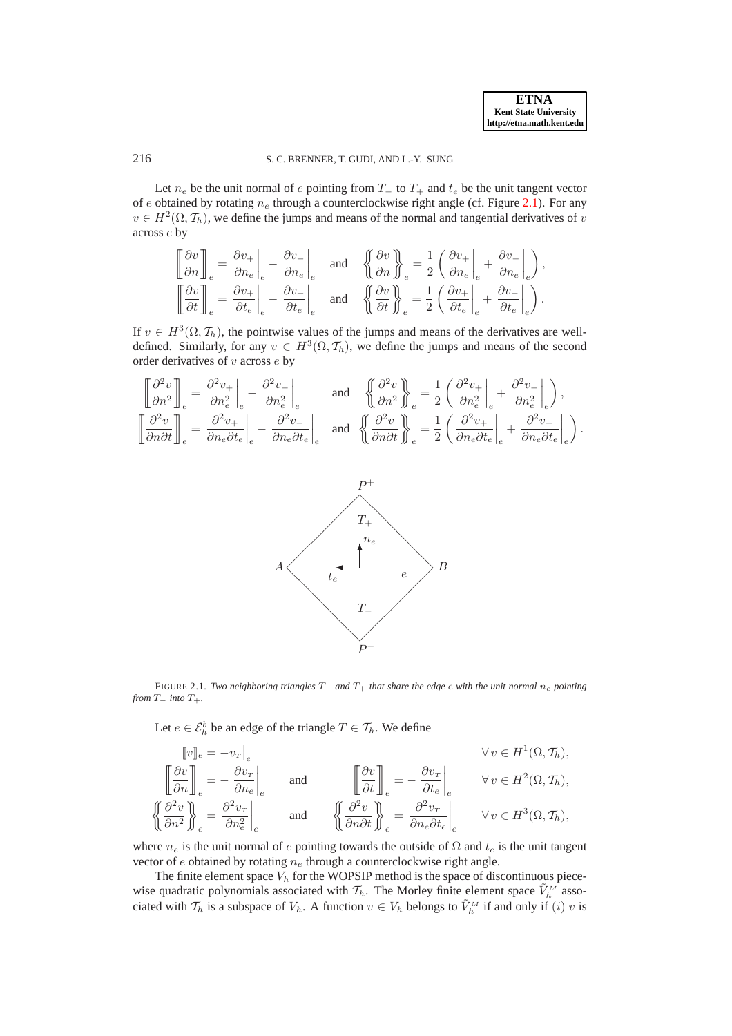Let  $n_e$  be the unit normal of e pointing from  $T_$  to  $T_+$  and  $t_e$  be the unit tangent vector of e obtained by rotating  $n_e$  through a counterclockwise right angle (cf. Figure [2.1\)](#page-2-0). For any  $v \in H^2(\Omega, \mathcal{T}_h)$ , we define the jumps and means of the normal and tangential derivatives of  $v$ across e by

$$
\begin{bmatrix}\n\frac{\partial v}{\partial n}\n\end{bmatrix}_e = \frac{\partial v_+}{\partial n_e}\bigg|_e - \frac{\partial v_-}{\partial n_e}\bigg|_e\n\quad \text{and} \quad\n\begin{Bmatrix}\n\frac{\partial v}{\partial n}\n\end{Bmatrix}_e = \frac{1}{2} \left(\frac{\partial v_+}{\partial n_e}\bigg|_e + \frac{\partial v_-}{\partial n_e}\bigg|_e\right),
$$
\n
$$
\begin{bmatrix}\n\frac{\partial v}{\partial t}\n\end{bmatrix}_e = \frac{\partial v_+}{\partial t_e}\bigg|_e - \frac{\partial v_-}{\partial t_e}\bigg|_e\n\quad \text{and} \quad\n\begin{Bmatrix}\n\frac{\partial v}{\partial t}\n\end{Bmatrix}_e = \frac{1}{2} \left(\frac{\partial v_+}{\partial t_e}\bigg|_e + \frac{\partial v_-}{\partial t_e}\bigg|_e\right).
$$

If  $v \in H^3(\Omega, \mathcal{T}_h)$ , the pointwise values of the jumps and means of the derivatives are welldefined. Similarly, for any  $v \in H^3(\Omega, \mathcal{T}_h)$ , we define the jumps and means of the second order derivatives of  $v$  across  $e$  by

$$
\begin{split}\n\left[\frac{\partial^2 v}{\partial n^2}\right]_e &= \left.\frac{\partial^2 v_+}{\partial n_e^2}\right|_e - \left.\frac{\partial^2 v_-}{\partial n_e^2}\right|_e \\
\left[\frac{\partial^2 v}{\partial n \partial t}\right]_e &= \left.\frac{\partial^2 v_+}{\partial n_e \partial t_e}\right|_e - \left.\frac{\partial^2 v_-}{\partial n_e \partial t_e}\right|_e\n\end{split}\n\text{ and }\n\left\{\n\left(\frac{\partial^2 v}{\partial n^2}\right)_{\!\!\!\!\ell}^p = \frac{1}{2}\left(\left.\frac{\partial^2 v_+}{\partial n_e^2}\right|_e + \left.\frac{\partial^2 v_-}{\partial n_e^2}\right|_e\right),\n\left[\frac{\partial^2 v}{\partial n \partial t}\right]_e = \frac{1}{2}\left(\left.\frac{\partial^2 v_+}{\partial n_e \partial t_e}\right|_e + \left.\frac{\partial^2 v_-}{\partial n_e \partial t_e}\right|_e\right).
$$



FIGURE 2.1. *Two neighboring triangles* T<sup>−</sup> *and* T<sup>+</sup> *that share the edge* e *with the unit normal* n<sup>e</sup> *pointing from*  $T_$ *– into*  $T_+$ *.* 

<span id="page-2-0"></span>Let  $e \in \mathcal{E}_h^b$  be an edge of the triangle  $T \in \mathcal{T}_h$ . We define

$$
\begin{aligned}\n\llbracket v \rrbracket_e &= -v_T \rrbracket_e \\
\llbracket \frac{\partial v}{\partial n} \rrbracket_e &= -\frac{\partial v_T}{\partial n_e} \rrbracket_e\n\end{aligned}\n\quad \text{and} \quad\n\begin{aligned}\n\llbracket \frac{\partial v}{\partial t} \rrbracket_e &= -\frac{\partial v_T}{\partial t_e} \rrbracket_e &\forall v \in H^1(\Omega, \mathcal{T}_h), \\
\llbracket \frac{\partial^2 v}{\partial n^2} \rrbracket_e &= \frac{\partial^2 v_T}{\partial n_e^2} \rrbracket_e &\forall v \in H^2(\Omega, \mathcal{T}_h), \\
\llbracket \frac{\partial^2 v}{\partial n \partial t} \rrbracket_e &= \frac{\partial^2 v_T}{\partial n_e \partial t_e} \rrbracket_e &\forall v \in H^3(\Omega, \mathcal{T}_h),\n\end{aligned}
$$

where  $n_e$  is the unit normal of e pointing towards the outside of  $\Omega$  and  $t_e$  is the unit tangent vector of  $e$  obtained by rotating  $n_e$  through a counterclockwise right angle.

The finite element space  $V<sub>h</sub>$  for the WOPSIP method is the space of discontinuous piecewise quadratic polynomials associated with  $\mathcal{T}_h$ . The Morley finite element space  $\tilde{V}_h^M$  associated with  $\mathcal{T}_h$  is a subspace of  $V_h$ . A function  $v \in V_h$  belongs to  $\tilde{V}_h^M$  if and only if  $(i)$  v is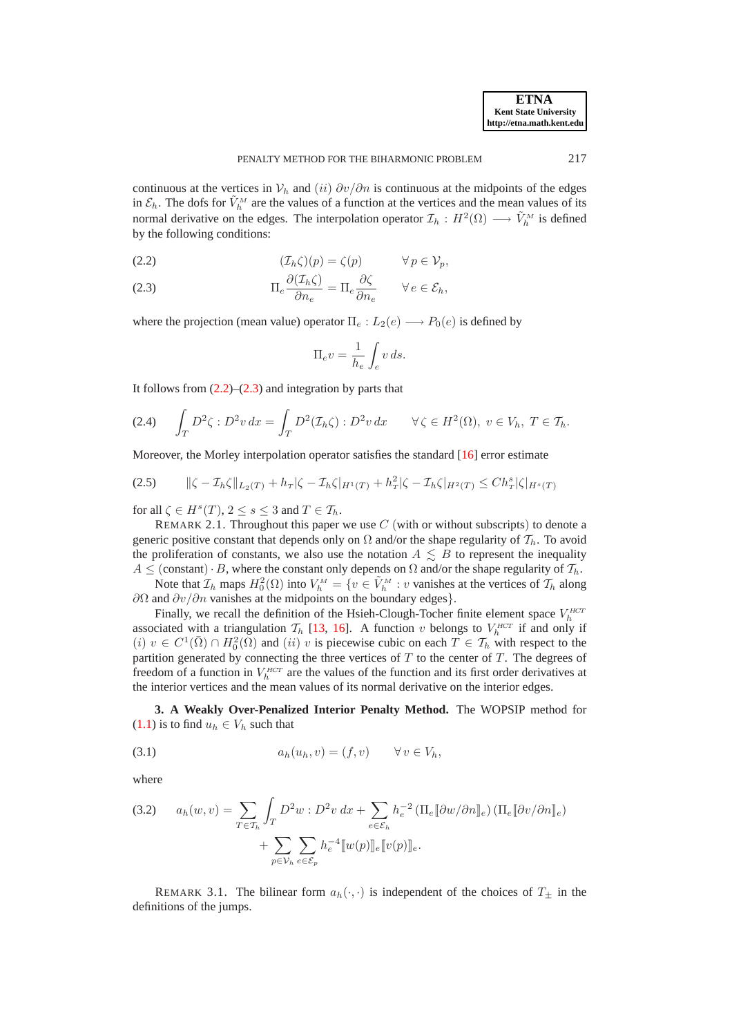continuous at the vertices in  $\mathcal{V}_h$  and  $(ii) \frac{\partial v}{\partial n}$  is continuous at the midpoints of the edges in  $\mathcal{E}_h$ . The dofs for  $\tilde{V}_h^M$  are the values of a function at the vertices and the mean values of its normal derivative on the edges. The interpolation operator  $\mathcal{I}_h : H^2(\Omega) \longrightarrow \tilde{V}_h^M$  is defined by the following conditions:

<span id="page-3-1"></span>(2.2) 
$$
(\mathcal{I}_h \zeta)(p) = \zeta(p) \qquad \forall p \in \mathcal{V}_p,
$$

<span id="page-3-2"></span>(2.3) 
$$
\Pi_e \frac{\partial (\mathcal{I}_h \zeta)}{\partial n_e} = \Pi_e \frac{\partial \zeta}{\partial n_e} \qquad \forall e \in \mathcal{E}_h,
$$

where the projection (mean value) operator  $\Pi_e: L_2(e) \longrightarrow P_0(e)$  is defined by

$$
\Pi_e v = \frac{1}{h_e} \int_e v \, ds.
$$

It follows from  $(2.2)$ – $(2.3)$  and integration by parts that

<span id="page-3-5"></span>
$$
(2.4) \qquad \int_T D^2 \zeta : D^2 v \, dx = \int_T D^2(\mathcal{I}_h \zeta) : D^2 v \, dx \qquad \forall \zeta \in H^2(\Omega), \ v \in V_h, \ T \in \mathcal{T}_h.
$$

Moreover, the Morley interpolation operator satisfies the standard [\[16](#page-23-4)] error estimate

<span id="page-3-4"></span>
$$
(2.5) \qquad \|\zeta - \mathcal{I}_h\zeta\|_{L_2(T)} + h_T|\zeta - \mathcal{I}_h\zeta|_{H^1(T)} + h_T^2|\zeta - \mathcal{I}_h\zeta|_{H^2(T)} \le Ch_T^s|\zeta|_{H^s(T)}
$$

for all  $\zeta \in H^s(T)$ ,  $2 \le s \le 3$  and  $T \in \mathcal{T}_h$ .

REMARK 2.1. Throughout this paper we use  $C$  (with or without subscripts) to denote a generic positive constant that depends only on  $\Omega$  and/or the shape regularity of  $\mathcal{T}_h$ . To avoid the proliferation of constants, we also use the notation  $A \leq B$  to represent the inequality  $A \leq$  (constant)  $\cdot$  B, where the constant only depends on  $\Omega$  and/or the shape regularity of  $\mathcal{T}_h$ .

Note that  $\mathcal{I}_h$  maps  $H_0^2(\Omega)$  into  $V_h^M = \{v \in \tilde{V}_h^M : v$  vanishes at the vertices of  $\mathcal{I}_h$  along  $\partial Ω$  and  $\partial v / \partial n$  vanishes at the midpoints on the boundary edges}.

Finally, we recall the definition of the Hsieh-Clough-Tocher finite element space  $V_h^{HCT}$ associated with a triangulation  $\mathcal{T}_h$  [\[13](#page-23-8), [16](#page-23-4)]. A function v belongs to  $V_h^{HCT}$  if and only if  $(i)$   $v \in C^1(\overline{\Omega}) \cap H_0^2(\overline{\Omega})$  and  $(ii)$  v is piecewise cubic on each  $T \in \mathcal{T}_h$  with respect to the partition generated by connecting the three vertices of  $T$  to the center of  $T$ . The degrees of freedom of a function in  $V_h^{HCT}$  are the values of the function and its first order derivatives at the interior vertices and the mean values of its normal derivative on the interior edges.

<span id="page-3-0"></span>**3. A Weakly Over-Penalized Interior Penalty Method.** The WOPSIP method for [\(1.1\)](#page-0-0) is to find  $u_h \in V_h$  such that

<span id="page-3-3"></span>
$$
(3.1) \t ah(uh, v) = (f, v) \t \forall v \in Vh,
$$

where

<span id="page-3-6"></span>(3.2) 
$$
a_h(w, v) = \sum_{T \in \mathcal{T}_h} \int_T D^2 w : D^2 v \, dx + \sum_{e \in \mathcal{E}_h} h_e^{-2} \left( \prod_e [\partial w / \partial n]_e \right) \left( \prod_e [\partial v / \partial n]_e \right) + \sum_{p \in \mathcal{V}_h} \sum_{e \in \mathcal{E}_p} h_e^{-4} \llbracket w(p) \rrbracket_e \llbracket v(p) \rrbracket_e.
$$

REMARK 3.1. The bilinear form  $a_h(\cdot, \cdot)$  is independent of the choices of  $T_{\pm}$  in the definitions of the jumps.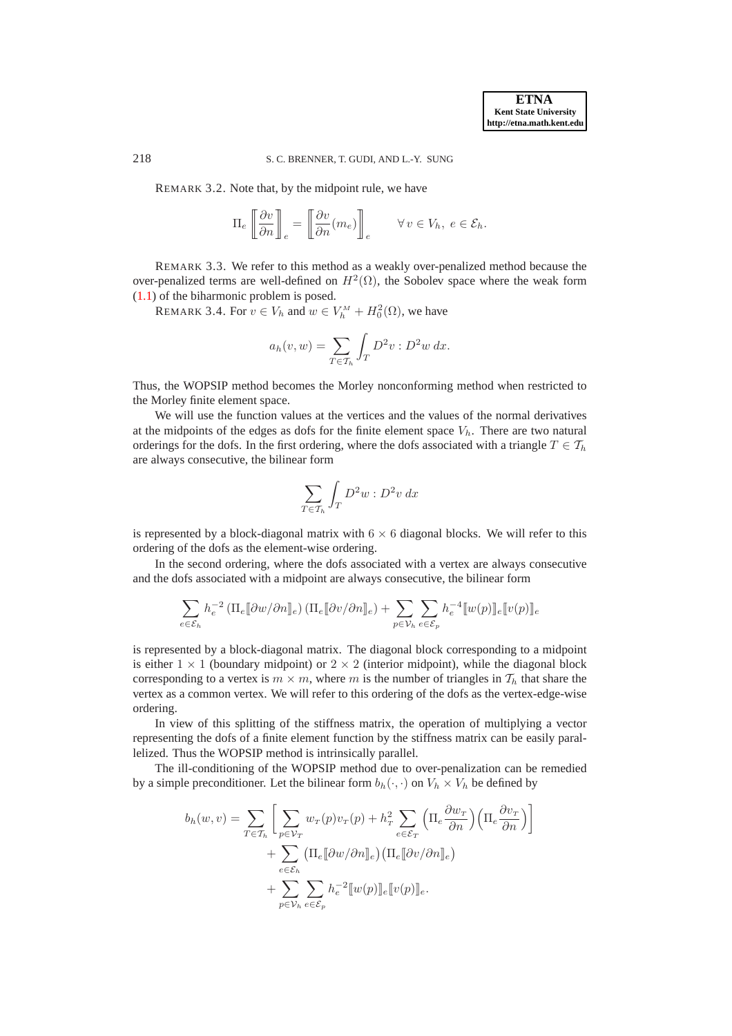REMARK 3.2. Note that, by the midpoint rule, we have

$$
\Pi_e \left[ \frac{\partial v}{\partial n} \right]_e = \left[ \frac{\partial v}{\partial n} (m_e) \right]_e \qquad \forall v \in V_h, \ e \in \mathcal{E}_h.
$$

REMARK 3.3. We refer to this method as a weakly over-penalized method because the over-penalized terms are well-defined on  $H^2(\Omega)$ , the Sobolev space where the weak form [\(1.1\)](#page-0-0) of the biharmonic problem is posed.

REMARK 3.4. For  $v \in V_h$  and  $w \in V_h^M + H_0^2(\Omega)$ , we have

$$
a_h(v, w) = \sum_{T \in \mathcal{T}_h} \int_T D^2 v : D^2 w \, dx.
$$

Thus, the WOPSIP method becomes the Morley nonconforming method when restricted to the Morley finite element space.

We will use the function values at the vertices and the values of the normal derivatives at the midpoints of the edges as dofs for the finite element space  $V_h$ . There are two natural orderings for the dofs. In the first ordering, where the dofs associated with a triangle  $T \in \mathcal{T}_h$ are always consecutive, the bilinear form

$$
\sum_{T \in \mathcal{T}_h} \int_T D^2 w : D^2 v \, dx
$$

is represented by a block-diagonal matrix with  $6 \times 6$  diagonal blocks. We will refer to this ordering of the dofs as the element-wise ordering.

In the second ordering, where the dofs associated with a vertex are always consecutive and the dofs associated with a midpoint are always consecutive, the bilinear form

$$
\sum_{e \in \mathcal{E}_h} h_e^{-2} \left( \Pi_e [\![\partial w/\partial n]\!]_e \right) \left( \Pi_e [\![\partial v/\partial n]\!]_e \right) + \sum_{p \in \mathcal{V}_h} \sum_{e \in \mathcal{E}_p} h_e^{-4} [\![w(p)]\!]_e [\![v(p)]\!]_e
$$

is represented by a block-diagonal matrix. The diagonal block corresponding to a midpoint is either  $1 \times 1$  (boundary midpoint) or  $2 \times 2$  (interior midpoint), while the diagonal block corresponding to a vertex is  $m \times m$ , where m is the number of triangles in  $\mathcal{T}_h$  that share the vertex as a common vertex. We will refer to this ordering of the dofs as the vertex-edge-wise ordering.

In view of this splitting of the stiffness matrix, the operation of multiplying a vector representing the dofs of a finite element function by the stiffness matrix can be easily parallelized. Thus the WOPSIP method is intrinsically parallel.

The ill-conditioning of the WOPSIP method due to over-penalization can be remedied by a simple preconditioner. Let the bilinear form  $b_h(\cdot, \cdot)$  on  $V_h \times V_h$  be defined by

$$
b_h(w, v) = \sum_{T \in \mathcal{T}_h} \left[ \sum_{p \in \mathcal{V}_T} w_T(p) v_T(p) + h_T^2 \sum_{e \in \mathcal{E}_T} \left( \Pi_e \frac{\partial w_T}{\partial n} \right) \left( \Pi_e \frac{\partial v_T}{\partial n} \right) \right]
$$
  
+ 
$$
\sum_{e \in \mathcal{E}_h} \left( \Pi_e [\![\partial w/\partial n]]\!]_e \right) \left( \Pi_e [\![\partial v/\partial n]]\!]_e \right)
$$
  
+ 
$$
\sum_{p \in \mathcal{V}_h} \sum_{e \in \mathcal{E}_p} h_e^{-2} [\![w(p)]]\!]_e [\![v(p)]\!]_e.
$$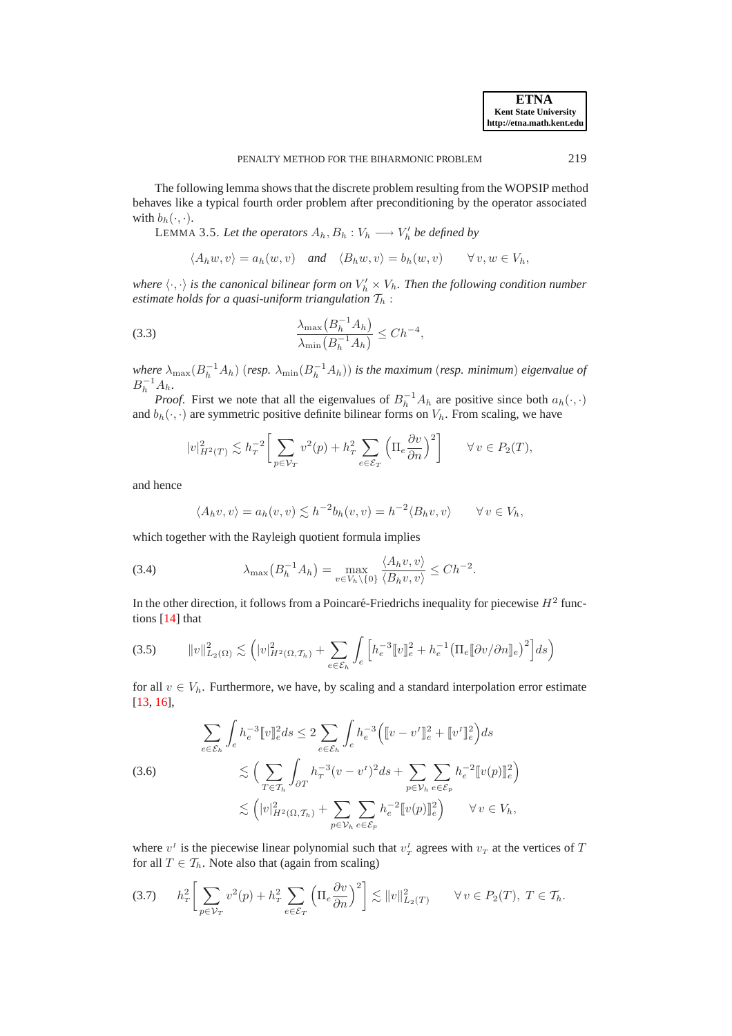The following lemma shows that the discrete problem resulting from the WOPSIP method behaves like a typical fourth order problem after preconditioning by the operator associated with  $b_h(\cdot, \cdot)$ .

<span id="page-5-5"></span>LEMMA 3.5. Let the operators  $A_h, B_h : V_h \longrightarrow V'_h$  be defined by

<span id="page-5-2"></span>
$$
\langle A_h w, v \rangle = a_h(w, v)
$$
 and  $\langle B_h w, v \rangle = b_h(w, v)$   $\forall v, w \in V_h$ ,

where  $\langle \cdot, \cdot \rangle$  is the canonical bilinear form on  $V'_h \times V_h$ . Then the following condition number *estimate holds for a quasi-uniform triangulation*  $T_h$ :

$$
\frac{\lambda_{\max}\left(B_h^{-1}A_h\right)}{\lambda_{\min}\left(B_h^{-1}A_h\right)} \le Ch^{-4},
$$

 $where \ \lambda_{\max}(B_h^{-1}A_h)$  (*resp.*  $\lambda_{\min}(B_h^{-1}A_h)$ ) *is the maximum* (*resp. minimum*) *eigenvalue of*  $B_h^{-1}A_h.$ 

*Proof.* First we note that all the eigenvalues of  $B_h^{-1}A_h$  are positive since both  $a_h(\cdot, \cdot)$ and  $b_h(\cdot, \cdot)$  are symmetric positive definite bilinear forms on  $V_h$ . From scaling, we have

$$
|v|_{H^2(T)}^2 \lesssim h_T^{-2} \bigg[ \sum_{p \in \mathcal{V}_T} v^2(p) + h_T^2 \sum_{e \in \mathcal{E}_T} \left( \Pi_e \frac{\partial v}{\partial n} \right)^2 \bigg] \qquad \forall \, v \in P_2(T),
$$

and hence

<span id="page-5-3"></span>
$$
\langle A_h v, v \rangle = a_h(v, v) \lesssim h^{-2} b_h(v, v) = h^{-2} \langle B_h v, v \rangle \qquad \forall v \in V_h,
$$

which together with the Rayleigh quotient formula implies

(3.4) 
$$
\lambda_{\max}(B_h^{-1}A_h) = \max_{v \in V_h \setminus \{0\}} \frac{\langle A_h v, v \rangle}{\langle B_h v, v \rangle} \leq C h^{-2}.
$$

In the other direction, it follows from a Poincaré-Friedrichs inequality for piecewise  $H^2$  functions [\[14](#page-23-9)] that

<span id="page-5-0"></span>
$$
(3.5) \qquad ||v||_{L_2(\Omega)}^2 \lesssim \left( |v|_{H^2(\Omega, \mathcal{T}_h)}^2 + \sum_{e \in \mathcal{E}_h} \int_e \left[ h_e^{-3} [v]_e^2 + h_e^{-1} \left( \Pi_e [\partial v / \partial n]_e \right)^2 \right] ds \right)
$$

for all  $v \in V_h$ . Furthermore, we have, by scaling and a standard interpolation error estimate [\[13](#page-23-8), [16](#page-23-4)],

<span id="page-5-4"></span>(3.6)  
\n
$$
\sum_{e \in \mathcal{E}_h} \int_e h_e^{-3} [v]_e^2 ds \le 2 \sum_{e \in \mathcal{E}_h} \int_e h_e^{-3} ( [v - v^I]_e^2 + [v^I]_e^2) ds
$$
\n
$$
\lesssim \Big( \sum_{T \in \mathcal{T}_h} \int_{\partial T} h_T^{-3} (v - v^I)^2 ds + \sum_{p \in \mathcal{V}_h} \sum_{e \in \mathcal{E}_p} h_e^{-2} [v(p)]_e^2 \Big)
$$
\n
$$
\lesssim \Big( |v|_{H^2(\Omega, \mathcal{T}_h)}^2 + \sum_{p \in \mathcal{V}_h} \sum_{e \in \mathcal{E}_p} h_e^{-2} [v(p)]_e^2 \Big) \qquad \forall v \in V_h,
$$

where  $v^I$  is the piecewise linear polynomial such that  $v^I$  agrees with  $v^I$  at the vertices of T for all  $T \in \mathcal{T}_h$ . Note also that (again from scaling)

<span id="page-5-1"></span>
$$
(3.7) \t hT2 \left[ \sum_{p \in \mathcal{V}_T} v^2(p) + h_T^2 \sum_{e \in \mathcal{E}_T} \left( \Pi_e \frac{\partial v}{\partial n} \right)^2 \right] \lesssim ||v||^2_{L_2(T)} \t \forall v \in P_2(T), T \in \mathcal{T}_h.
$$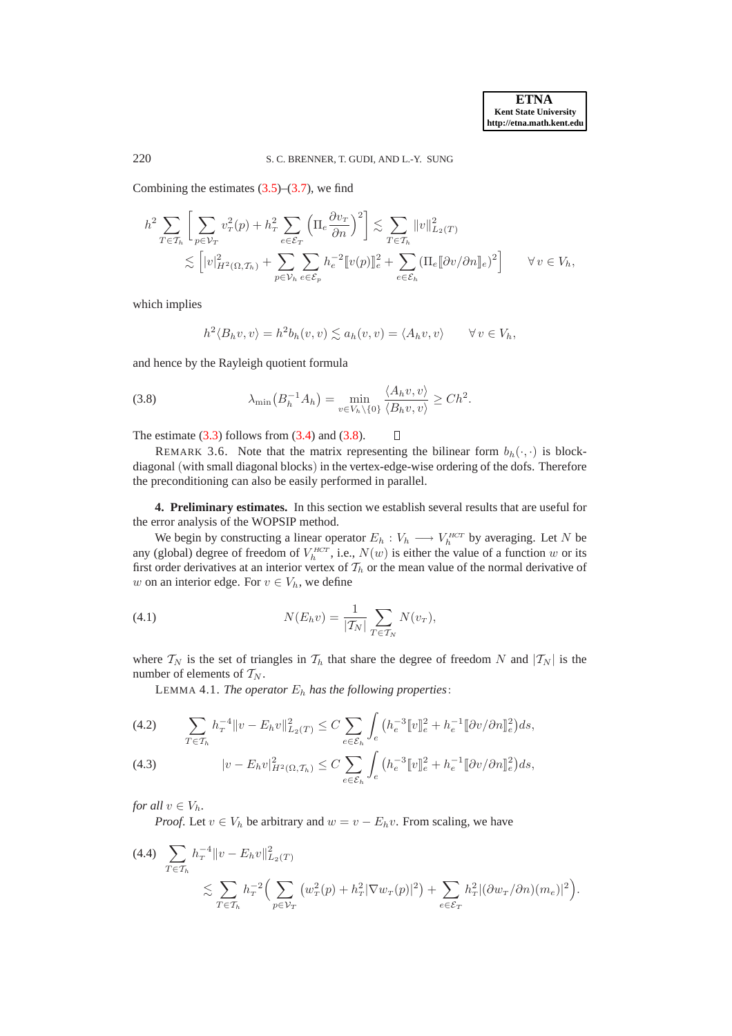Combining the estimates  $(3.5)$ – $(3.7)$ , we find

$$
h^{2} \sum_{T \in \mathcal{T}_{h}} \left[ \sum_{p \in \mathcal{V}_{T}} v_{T}^{2}(p) + h_{T}^{2} \sum_{e \in \mathcal{E}_{T}} \left( \Pi_{e} \frac{\partial v_{T}}{\partial n} \right)^{2} \right] \lesssim \sum_{T \in \mathcal{T}_{h}} ||v||_{L_{2}(T)}^{2}
$$
  

$$
\lesssim \left[ |v|_{H^{2}(\Omega, \mathcal{T}_{h})}^{2} + \sum_{p \in \mathcal{V}_{h}} \sum_{e \in \mathcal{E}_{p}} h_{e}^{-2} [v(p)]_{e}^{2} + \sum_{e \in \mathcal{E}_{h}} (\Pi_{e} [\![\partial v/\partial n]_{e})^{2} \right] \qquad \forall v \in V_{h},
$$

which implies

<span id="page-6-1"></span>
$$
h^{2} \langle B_{h} v, v \rangle = h^{2} b_{h} (v, v) \lesssim a_{h} (v, v) = \langle A_{h} v, v \rangle \quad \forall v \in V_{h},
$$

and hence by the Rayleigh quotient formula

(3.8) 
$$
\lambda_{\min}\big(B_h^{-1}A_h\big)=\min_{v\in V_h\setminus\{0\}}\frac{\langle A_h v,v\rangle}{\langle B_h v,v\rangle}\geq Ch^2.
$$

The estimate  $(3.3)$  follows from  $(3.4)$  and  $(3.8)$ .

REMARK 3.6. Note that the matrix representing the bilinear form  $b_h(\cdot, \cdot)$  is blockdiagonal (with small diagonal blocks) in the vertex-edge-wise ordering of the dofs. Therefore the preconditioning can also be easily performed in parallel.

 $\Box$ 

<span id="page-6-0"></span>**4. Preliminary estimates.** In this section we establish several results that are useful for the error analysis of the WOPSIP method.

We begin by constructing a linear operator  $E_h: V_h \longrightarrow V_h^{HCT}$  by averaging. Let N be any (global) degree of freedom of  $V_h^{HCT}$ , i.e.,  $N(w)$  is either the value of a function w or its first order derivatives at an interior vertex of  $T<sub>h</sub>$  or the mean value of the normal derivative of w on an interior edge. For  $v \in V_h$ , we define

(4.1) 
$$
N(E_h v) = \frac{1}{|T_N|} \sum_{T \in T_N} N(v_T),
$$

where  $T_N$  is the set of triangles in  $T_h$  that share the degree of freedom N and  $|T_N|$  is the number of elements of  $T_N$ .

<span id="page-6-6"></span><span id="page-6-2"></span>LEMMA 4.1. *The operator*  $E_h$  *has the following properties*:

<span id="page-6-3"></span>(4.2) 
$$
\sum_{T \in \mathcal{T}_h} h_T^{-4} ||v - E_h v||^2_{L_2(T)} \leq C \sum_{e \in \mathcal{E}_h} \int_e \left( h_e^{-3} [v]_e^2 + h_e^{-1} [\partial v / \partial n]_e^2 \right) ds,
$$

<span id="page-6-5"></span>(4.3) 
$$
|v - E_h v|_{H^2(\Omega, \mathcal{T}_h)}^2 \leq C \sum_{e \in \mathcal{E}_h} \int_e \left( h_e^{-3} [v]_e^2 + h_e^{-1} [\partial v / \partial n]_e^2 \right) ds,
$$

*for all*  $v \in V_h$ *.* 

*Proof.* Let  $v \in V_h$  be arbitrary and  $w = v - E_h v$ . From scaling, we have

<span id="page-6-4"></span>
$$
(4.4) \sum_{T \in \mathcal{T}_h} h_T^{-4} ||v - E_h v||^2_{L_2(T)} \n\lesssim \sum_{T \in \mathcal{T}_h} h_T^{-2} \Big( \sum_{p \in \mathcal{V}_T} \big( w_T^2(p) + h_T^2 |\nabla w_T(p)|^2 \big) + \sum_{e \in \mathcal{E}_T} h_T^2 |(\partial w_T/\partial n)(m_e)|^2 \Big).
$$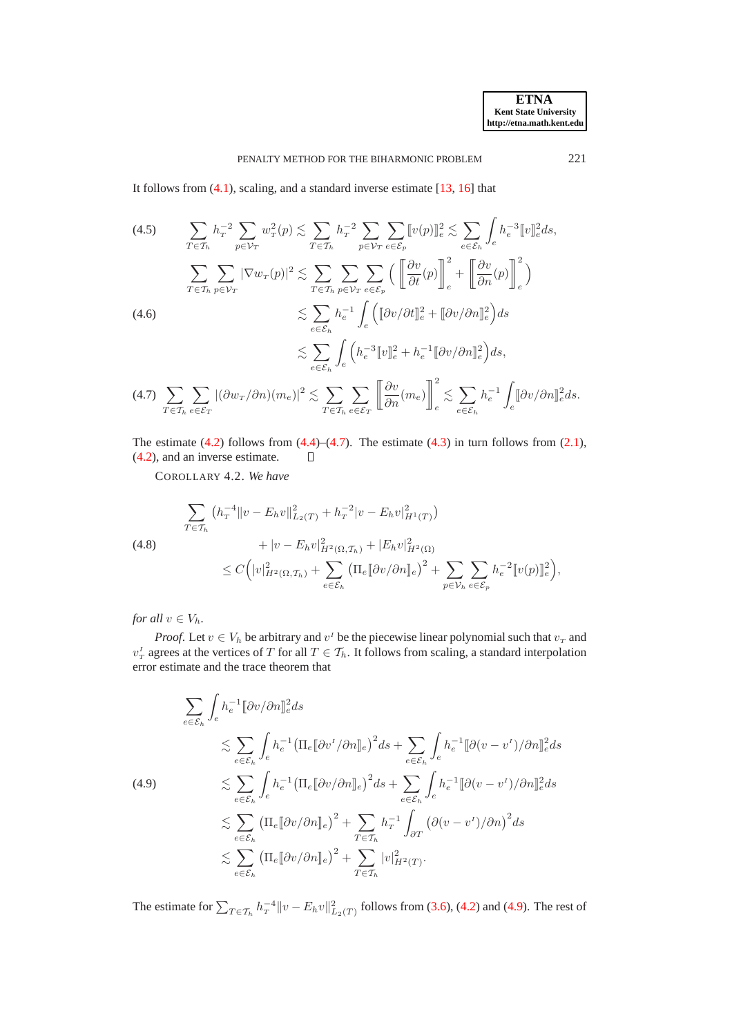It follows from [\(4.1\)](#page-6-2), scaling, and a standard inverse estimate [\[13](#page-23-8), [16](#page-23-4)] that

(4.5)  
\n
$$
\sum_{T \in \mathcal{T}_h} h_T^{-2} \sum_{p \in \mathcal{V}_T} w_T^2(p) \lesssim \sum_{T \in \mathcal{T}_h} h_T^{-2} \sum_{p \in \mathcal{V}_T} \sum_{e \in \mathcal{E}_p} [v(p)]_e^2 \lesssim \sum_{e \in \mathcal{E}_h} \int_e h_e^{-3} [v]_e^2 ds,
$$
\n
$$
\sum_{T \in \mathcal{T}_h} \sum_{p \in \mathcal{V}_T} |\nabla w_T(p)|^2 \lesssim \sum_{T \in \mathcal{T}_h} \sum_{p \in \mathcal{V}_T} \sum_{e \in \mathcal{E}_p} \left( \left[ \frac{\partial v}{\partial t}(p) \right]_e^2 + \left[ \frac{\partial v}{\partial n}(p) \right]_e^2 \right)
$$
\n(4.6)  
\n
$$
\lesssim \sum_{e \in \mathcal{E}_h} h_e^{-1} \int_e \left( [ \partial v/\partial t]_e^2 + [ \partial v/\partial n]_e^2 \right) ds
$$
\n
$$
\lesssim \sum_{e \in \mathcal{E}_h} \int_e \left( h_e^{-3} [v]_e^2 + h_e^{-1} [ \partial v/\partial n]_e^2 \right) ds,
$$
\n(4.7)  
\n
$$
\sum_{T \in \mathcal{T}_h} \sum_{e \in \mathcal{E}_T} |(\partial w_T/\partial n)(m_e)|^2 \lesssim \sum_{T \in \mathcal{T}_h} \sum_{e \in \mathcal{E}_T} \left[ \frac{\partial v}{\partial n}(m_e) \right]_e^2 \lesssim \sum_{e \in \mathcal{E}_h} h_e^{-1} \int_e [ \partial v/\partial n]_e^2 ds.
$$

<span id="page-7-0"></span>The estimate  $(4.2)$  follows from  $(4.4)$ – $(4.7)$ . The estimate  $(4.3)$  in turn follows from  $(2.1)$ , [\(4.2\)](#page-6-3), and an inverse estimate.  $\Box$ 

<span id="page-7-3"></span>COROLLARY 4.2. *We have*

<span id="page-7-2"></span>
$$
\sum_{T \in \mathcal{T}_h} \left( h_T^{-4} \| v - E_h v \|_{L_2(T)}^2 + h_T^{-2} | v - E_h v |_{H^1(T)}^2 \right) \n+ | v - E_h v |_{H^2(\Omega, \mathcal{T}_h)}^2 + |E_h v |_{H^2(\Omega)}^2 \n\leq C \left( |v|_{H^2(\Omega, \mathcal{T}_h)}^2 + \sum_{e \in \mathcal{E}_h} \left( \prod_e [\partial v / \partial n]_e \right)^2 + \sum_{p \in \mathcal{V}_h} \sum_{e \in \mathcal{E}_p} h_e^{-2} [v(p)]_e^2 \right),
$$

*for all*  $v \in V_h$ *.* 

*Proof.* Let  $v \in V_h$  be arbitrary and  $v^I$  be the piecewise linear polynomial such that  $v_T$  and  $v_T^I$  agrees at the vertices of T for all  $T \in \mathcal{T}_h$ . It follows from scaling, a standard interpolation error estimate and the trace theorem that

<span id="page-7-1"></span>
$$
\sum_{e \in \mathcal{E}_h} \int_e h_e^{-1} [\![\partial v/\partial n]\!]_e^2 ds
$$
\n
$$
\lesssim \sum_{e \in \mathcal{E}_h} \int_e h_e^{-1} \left( \prod_e [\![\partial v'/\partial n]\!]_e \right)^2 ds + \sum_{e \in \mathcal{E}_h} \int_e h_e^{-1} [\![\partial (v - v')/\partial n]\!]_e^2 ds
$$
\n
$$
\lesssim \sum_{e \in \mathcal{E}_h} \int_e h_e^{-1} \left( \prod_e [\![\partial v/\partial n]\!]_e \right)^2 ds + \sum_{e \in \mathcal{E}_h} \int_e h_e^{-1} [\![\partial (v - v')/\partial n]\!]_e^2 ds
$$
\n
$$
\lesssim \sum_{e \in \mathcal{E}_h} \left( \prod_e [\![\partial v/\partial n]\!]_e \right)^2 + \sum_{T \in \mathcal{T}_h} h_T^{-1} \int_{\partial T} \left( \partial (v - v')/\partial n \right)^2 ds
$$
\n
$$
\lesssim \sum_{e \in \mathcal{E}_h} \left( \prod_e [\![\partial v/\partial n]\!]_e \right)^2 + \sum_{T \in \mathcal{T}_h} |v|_{H^2(T)}^2.
$$

The estimate for  $\sum_{T\in\mathcal{T}_h} h_T^{-4}\|v-E_h v\|_{L_2(T)}^2$  follows from [\(3.6\)](#page-5-4), [\(4.2\)](#page-6-3) and [\(4.9\)](#page-7-1). The rest of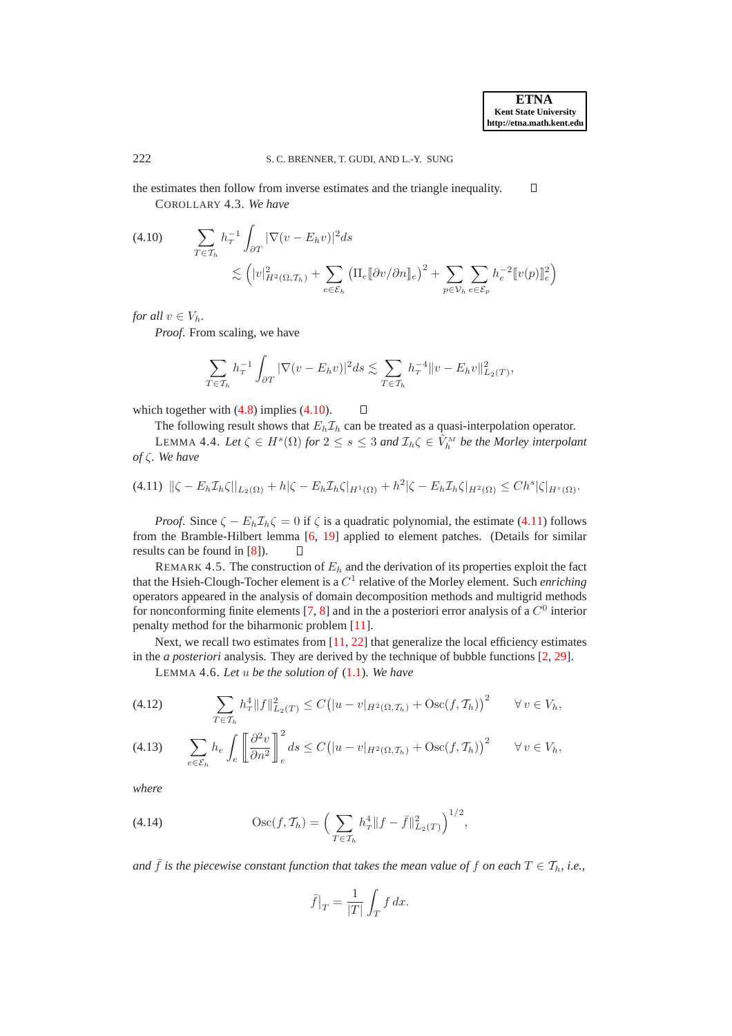<span id="page-8-3"></span>the estimates then follow from inverse estimates and the triangle inequality.  $\Box$ COROLLARY 4.3. *We have*

<span id="page-8-0"></span> $\sum$  $T \epsilon \mathcal{T}_h$  $h_T^{-1}$ (4.10)  $\sum_{T \in \mathcal{T}_h} h_T^{-1} \int_{\partial T} |\nabla (v - E_h v)|^2 ds$  $\lesssim \left( |v|_{H^2(\Omega, \mathcal{T}_h)}^2 + \sum \right)$  $e \in \mathcal{E}_h$  $\left(\Pi_e \llbracket \partial v/\partial n \rrbracket_e \right)^2 + \sum$  $p \in \mathcal{V}_h$  $\sum$  $e\in\mathcal{E}_p$  $h_e^{-2} [ [v(p)]_e^2]$ 

*for all*  $v \in V_h$ *.* 

*Proof*. From scaling, we have

$$
\sum_{T \in \mathcal{T}_h} h_T^{-1} \int_{\partial T} |\nabla (v - E_h v)|^2 ds \lesssim \sum_{T \in \mathcal{T}_h} h_T^{-4} ||v - E_h v||^2_{L_2(T)},
$$

which together with  $(4.8)$  implies  $(4.10)$ .  $\Box$ 

The following result shows that  $E_h \mathcal{I}_h$  can be treated as a quasi-interpolation operator. LEMMA 4.4. Let  $\zeta \in H^s(\Omega)$  for  $2 \leq s \leq 3$  and  $\mathcal{I}_h \zeta \in \tilde{V}_h^M$  be the Morley interpolant *of* ζ*. We have*

<span id="page-8-1"></span>
$$
(4.11) \|\zeta - E_h \mathcal{I}_h \zeta\|_{L_2(\Omega)} + h|\zeta - E_h \mathcal{I}_h \zeta|_{H^1(\Omega)} + h^2 |\zeta - E_h \mathcal{I}_h \zeta|_{H^2(\Omega)} \leq C h^s |\zeta|_{H^s(\Omega)}.
$$

*Proof.* Since  $\zeta - E_h \mathcal{I}_h \zeta = 0$  if  $\zeta$  is a quadratic polynomial, the estimate [\(4.11\)](#page-8-1) follows from the Bramble-Hilbert lemma [\[6,](#page-23-10) [19](#page-23-11)] applied to element patches. (Details for similar results can be found in [\[8\]](#page-23-12)).  $\Box$ 

REMARK 4.5. The construction of  $E<sub>h</sub>$  and the derivation of its properties exploit the fact that the Hsieh-Clough-Tocher element is a  $C<sup>1</sup>$  relative of the Morley element. Such *enriching* operators appeared in the analysis of domain decomposition methods and multigrid methods for nonconforming finite elements [\[7,](#page-23-13) [8\]](#page-23-12) and in the a posteriori error analysis of a  $C^0$  interior penalty method for the biharmonic problem [\[11\]](#page-23-14).

Next, we recall two estimates from  $[11, 22]$  $[11, 22]$  $[11, 22]$  that generalize the local efficiency estimates in the *a posteriori* analysis. They are derived by the technique of bubble functions [\[2,](#page-23-16) [29\]](#page-24-2).

LEMMA 4.6. *Let* u *be the solution of* [\(1.1\)](#page-0-0)*. We have*

<span id="page-8-2"></span>(4.12) 
$$
\sum_{T \in \mathcal{T}_h} h_T^4 \|f\|_{L_2(T)}^2 \le C\big(|u-v|_{H^2(\Omega,\mathcal{T}_h)} + \text{Osc}(f,\mathcal{T}_h)\big)^2 \qquad \forall v \in V_h,
$$

<span id="page-8-4"></span>
$$
(4.13) \qquad \sum_{e \in \mathcal{E}_h} h_e \int_e \left[ \frac{\partial^2 v}{\partial n^2} \right]_e^2 ds \le C \left( |u - v|_{H^2(\Omega, \mathcal{T}_h)} + \text{Osc}(f, \mathcal{T}_h) \right)^2 \qquad \forall \, v \in V_h,
$$

*where*

(4.14) 
$$
\operatorname{Osc}(f, \mathcal{T}_h) = \left(\sum_{T \in \mathcal{T}_h} h_T^4 \|f - \bar{f}\|_{L_2(T)}^2\right)^{1/2},
$$

*and*  $\bar{f}$  *is the piecewise constant function that takes the mean value of* f *on each*  $T \in \mathcal{T}_h$ , *i.e.*,

<span id="page-8-5"></span>
$$
\bar{f}|_{T} = \frac{1}{|T|} \int_{T} f \, dx.
$$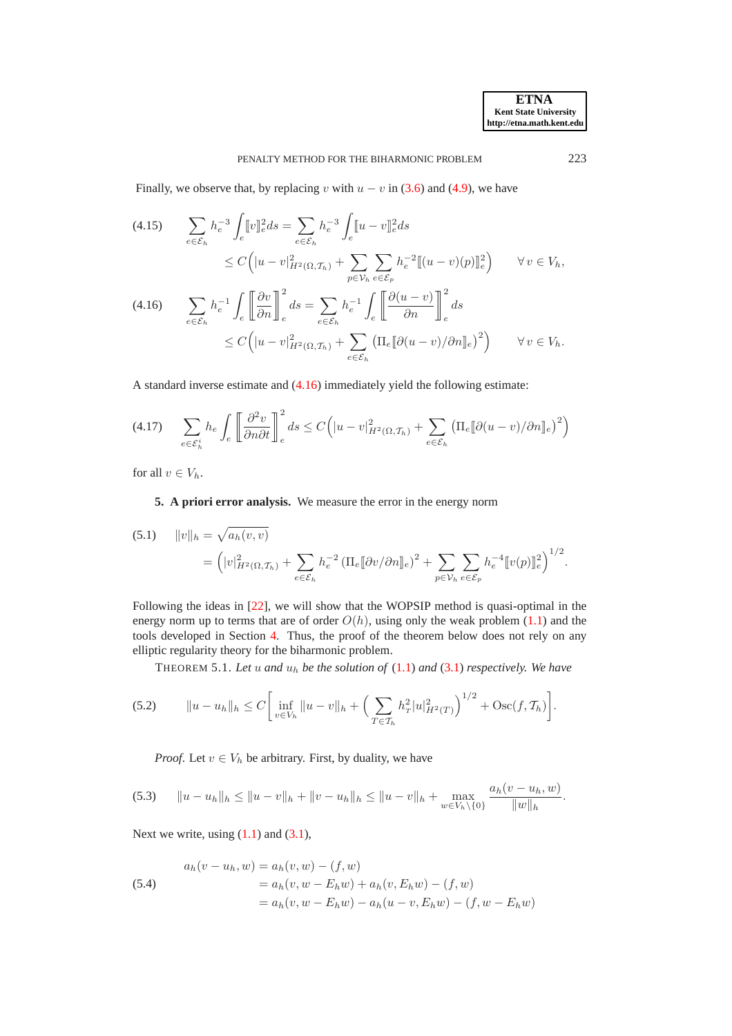Finally, we observe that, by replacing v with  $u - v$  in [\(3.6\)](#page-5-4) and [\(4.9\)](#page-7-1), we have

<span id="page-9-7"></span>
$$
\begin{aligned} \text{(4.15)} \qquad & \sum_{e \in \mathcal{E}_h} h_e^{-3} \int_e [v]_e^2 ds = \sum_{e \in \mathcal{E}_h} h_e^{-3} \int_e [u - v]_e^2 ds \\ &\le C \Big( |u - v|_{H^2(\Omega, \mathcal{T}_h)}^2 + \sum_{p \in \mathcal{V}_h} \sum_{e \in \mathcal{E}_p} h_e^{-2} [[(u - v)(p)]_e^2 \Big) \qquad \forall \, v \in V_h, \end{aligned}
$$

<span id="page-9-1"></span>
$$
\begin{split} \text{(4.16)} \qquad & \sum_{e \in \mathcal{E}_h} h_e^{-1} \int_e \left[ \frac{\partial v}{\partial n} \right]_e^2 ds = \sum_{e \in \mathcal{E}_h} h_e^{-1} \int_e \left[ \frac{\partial (u - v)}{\partial n} \right]_e^2 ds \\ &\leq C \Big( |u - v|_{H^2(\Omega, \mathcal{T}_h)}^2 + \sum_{e \in \mathcal{E}_h} \left( \Pi_e [\partial (u - v) / \partial n]_e \right)^2 \Big) \qquad \forall \, v \in V_h. \end{split}
$$

A standard inverse estimate and [\(4.16\)](#page-9-1) immediately yield the following estimate:

<span id="page-9-3"></span>
$$
(4.17) \qquad \sum_{e \in \mathcal{E}_h^i} h_e \int_e \left[ \frac{\partial^2 v}{\partial n \partial t} \right]_e^2 ds \le C \Big( |u - v|_{H^2(\Omega, \mathcal{T}_h)}^2 + \sum_{e \in \mathcal{E}_h} \left( \prod_e [\partial(u - v) / \partial n]_e \right)^2 \Big)
$$

<span id="page-9-0"></span>for all  $v \in V_h$ .

**5. A priori error analysis.** We measure the error in the energy norm

<span id="page-9-2"></span>(5.1) 
$$
||v||_{h} = \sqrt{a_{h}(v,v)}
$$
  
=  $(|v|_{H^{2}(\Omega,\mathcal{T}_{h})}^{2} + \sum_{e \in \mathcal{E}_{h}} h_{e}^{-2} (\Pi_{e}[[\partial v/\partial n]]_{e})^{2} + \sum_{p \in \mathcal{V}_{h}} \sum_{e \in \mathcal{E}_{p}} h_{e}^{-4}[[v(p)]]_{e}^{2})^{1/2}.$ 

Following the ideas in [\[22](#page-23-15)], we will show that the WOPSIP method is quasi-optimal in the energy norm up to terms that are of order  $O(h)$ , using only the weak problem [\(1.1\)](#page-0-0) and the tools developed in Section [4.](#page-6-0) Thus, the proof of the theorem below does not rely on any elliptic regularity theory for the biharmonic problem.

<span id="page-9-6"></span>THEOREM 5.1. *Let* u *and* u<sup>h</sup> *be the solution of* [\(1.1\)](#page-0-0) *and* [\(3.1\)](#page-3-3) *respectively. We have*

(5.2) 
$$
||u - u_h||_h \leq C \bigg[ \inf_{v \in V_h} ||u - v||_h + \bigg( \sum_{T \in \mathcal{T}_h} h_T^2 |u|_{H^2(T)}^2 \bigg)^{1/2} + \text{Osc}(f, \mathcal{T}_h) \bigg].
$$

<span id="page-9-5"></span>*Proof.* Let  $v \in V_h$  be arbitrary. First, by duality, we have

$$
(5.3) \t\t ||u - u_h||_h \le ||u - v||_h + ||v - u_h||_h \le ||u - v||_h + \max_{w \in V_h \setminus \{0\}} \frac{a_h(v - u_h, w)}{||w||_h}.
$$

Next we write, using  $(1.1)$  and  $(3.1)$ ,

<span id="page-9-4"></span>(5.4)  
\n
$$
a_h(v - u_h, w) = a_h(v, w) - (f, w)
$$
\n
$$
= a_h(v, w - E_h w) + a_h(v, E_h w) - (f, w)
$$
\n
$$
= a_h(v, w - E_h w) - a_h(u - v, E_h w) - (f, w - E_h w)
$$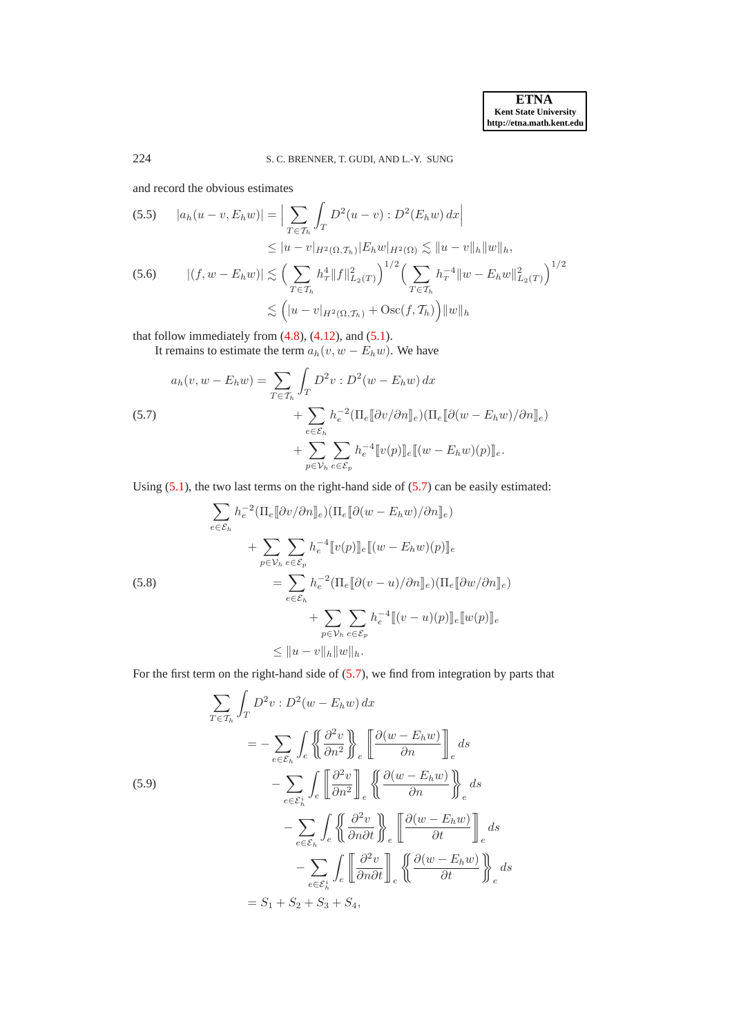and record the obvious estimates

(5.5) 
$$
|a_h(u - v, E_h w)| = \Big| \sum_{T \in \mathcal{T}_h} \int_T D^2(u - v) : D^2(E_h w) dx \Big|
$$
  
\n
$$
\leq |u - v|_{H^2(\Omega, \mathcal{T}_h)} |E_h w|_{H^2(\Omega)} \lesssim ||u - v||_h ||w||_h,
$$
  
\n(5.6) 
$$
|(f, w - E_h w)| \lesssim \Big( \sum_{T \in \mathcal{T}_h} h_T^4 ||f||_{L_2(T)}^2 \Big)^{1/2} \Big( \sum_{T \in \mathcal{T}_h} h_T^{-4} ||w - E_h w||_{L_2(T)}^2 \Big)^{1/2}
$$
  
\n
$$
\lesssim (|u - v|_{H^2(\Omega, \mathcal{T}_h)} + \text{Osc}(f, \mathcal{T}_h)) ||w||_h
$$

that follow immediately from  $(4.8)$ ,  $(4.12)$ , and  $(5.1)$ .

It remains to estimate the term  $a_h(v, w - E_h w)$ . We have

<span id="page-10-0"></span>(5.7)  
\n
$$
a_h(v, w - E_h w) = \sum_{T \in \mathcal{T}_h} \int_T D^2 v : D^2(w - E_h w) dx + \sum_{e \in \mathcal{E}_h} h_e^{-2} (\Pi_e [\partial v / \partial n]_e) (\Pi_e [\partial (w - E_h w) / \partial n]_e) + \sum_{p \in \mathcal{V}_h} \sum_{e \in \mathcal{E}_p} h_e^{-4} [\![v(p)]\!]_e [\![(w - E_h w)(p)]\!]_e.
$$

Using [\(5.1\)](#page-9-2), the two last terms on the right-hand side of [\(5.7\)](#page-10-0) can be easily estimated:

<span id="page-10-2"></span>(5.8)  
\n
$$
\sum_{e \in \mathcal{E}_h} h_e^{-2} (\Pi_e [\![\partial v/\partial n]\!]_e) (\Pi_e [\![\partial (w - E_h w)/\partial n]\!]_e)
$$
\n
$$
+ \sum_{p \in \mathcal{V}_h} \sum_{e \in \mathcal{E}_p} h_e^{-4} [\![v(p)]\!]_e [\![(w - E_h w)(p)]\!]_e
$$
\n
$$
= \sum_{e \in \mathcal{E}_h} h_e^{-2} (\Pi_e [\![\partial (v - u)/\partial n]\!]_e) (\Pi_e [\![\partial w/\partial n]\!]_e)
$$
\n
$$
+ \sum_{p \in \mathcal{V}_h} \sum_{e \in \mathcal{E}_p} h_e^{-4} [\![(v - u)(p)]\!]_e [\![w(p)]\!]_e
$$
\n
$$
\leq ||u - v||_h ||w||_h.
$$

For the first term on the right-hand side of [\(5.7\)](#page-10-0), we find from integration by parts that

<span id="page-10-1"></span>
$$
\sum_{T \in \mathcal{T}_h} \int_T D^2 v : D^2(w - E_h w) dx
$$
\n
$$
= - \sum_{e \in \mathcal{E}_h} \int_e \left\{ \frac{\partial^2 v}{\partial n^2} \right\}_e \left[ \frac{\partial (w - E_h w)}{\partial n} \right]_e ds
$$
\n(5.9)\n
$$
- \sum_{e \in \mathcal{E}_h} \int_e \left[ \frac{\partial^2 v}{\partial n^2} \right]_e \left\{ \frac{\partial (w - E_h w)}{\partial n} \right\}_e ds
$$
\n
$$
- \sum_{e \in \mathcal{E}_h} \int_e \left\{ \frac{\partial^2 v}{\partial n \partial t} \right\}_e \left[ \frac{\partial (w - E_h w)}{\partial t} \right]_e ds
$$
\n
$$
- \sum_{e \in \mathcal{E}_h} \int_e \left[ \frac{\partial^2 v}{\partial n \partial t} \right]_e \left\{ \frac{\partial (w - E_h w)}{\partial t} \right\}_e ds
$$
\n
$$
= S_1 + S_2 + S_3 + S_4,
$$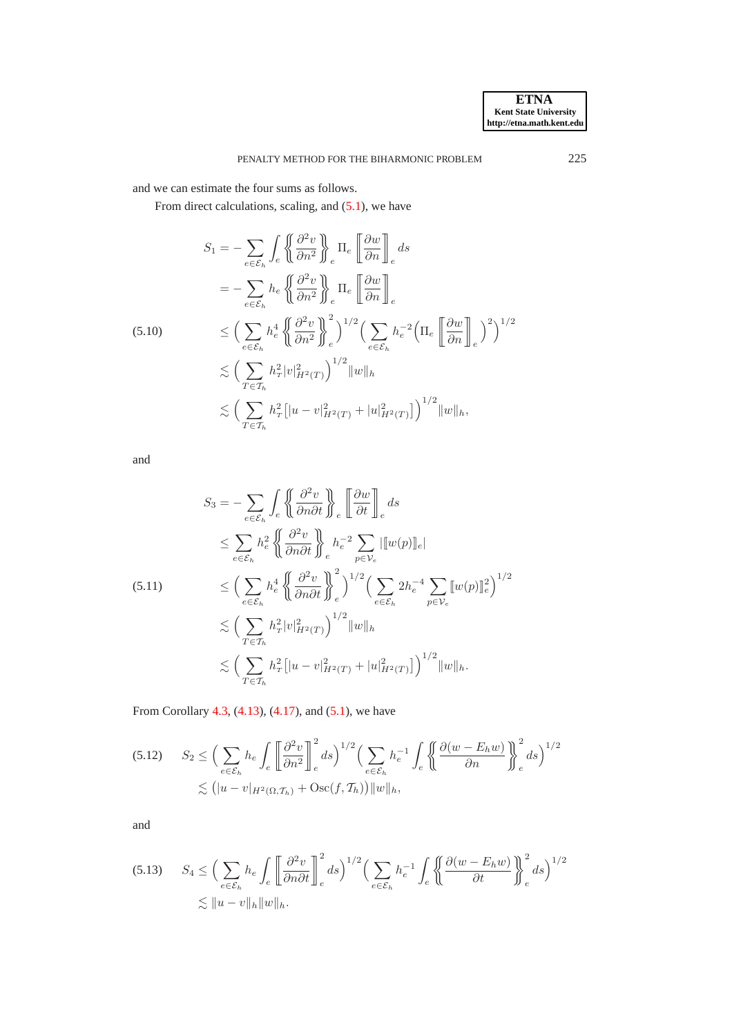and we can estimate the four sums as follows.

From direct calculations, scaling, and  $(5.1)$ , we have

$$
S_1 = -\sum_{e \in \mathcal{E}_h} \int_e \left\{ \left( \frac{\partial^2 v}{\partial n^2} \right) \right\}_e \Pi_e \left[ \frac{\partial w}{\partial n} \right]_e ds
$$
  
\n
$$
= -\sum_{e \in \mathcal{E}_h} h_e \left\{ \left( \frac{\partial^2 v}{\partial n^2} \right) \right\}_e \Pi_e \left[ \frac{\partial w}{\partial n} \right]_e
$$
  
\n(5.10)  
\n
$$
\leq \left( \sum_{e \in \mathcal{E}_h} h_e^4 \left\{ \left( \frac{\partial^2 v}{\partial n^2} \right) \right\}_e \right)^{1/2} \left( \sum_{e \in \mathcal{E}_h} h_e^{-2} \left( \Pi_e \left[ \frac{\partial w}{\partial n} \right] \right) \right)^{2} \right)^{1/2}
$$
  
\n
$$
\lesssim \left( \sum_{T \in \mathcal{T}_h} h_T^2 |v|_{H^2(T)}^2 \right)^{1/2} \|w\|_h
$$
  
\n
$$
\lesssim \left( \sum_{T \in \mathcal{T}_h} h_T^2 \left[ |u - v|_{H^2(T)}^2 + |u|_{H^2(T)}^2 \right] \right)^{1/2} \|w\|_h,
$$

and

$$
S_3 = -\sum_{e \in \mathcal{E}_h} \int_e \left\{ \frac{\partial^2 v}{\partial n \partial t} \right\}_e \left\[ \frac{\partial w}{\partial t} \right]_e ds
$$
  
\n
$$
\leq \sum_{e \in \mathcal{E}_h} h_e^2 \left\{ \frac{\partial^2 v}{\partial n \partial t} \right\}_e h_e^{-2} \sum_{p \in \mathcal{V}_e} ||[w(p)]_e|
$$
  
\n(5.11)  
\n
$$
\leq \left( \sum_{e \in \mathcal{E}_h} h_e^4 \left\{ \frac{\partial^2 v}{\partial n \partial t} \right\}_e^2 \right)^{1/2} \left( \sum_{e \in \mathcal{E}_h} 2h_e^{-4} \sum_{p \in \mathcal{V}_e} [w(p)]_e^2 \right)^{1/2}
$$
  
\n
$$
\lesssim \left( \sum_{T \in \mathcal{T}_h} h_T^2 |v|_{H^2(T)}^2 \right)^{1/2} ||w||_h
$$
  
\n
$$
\lesssim \left( \sum_{T \in \mathcal{T}_h} h_T^2 [|u - v|_{H^2(T)}^2 + |u|_{H^2(T)}^2] \right)^{1/2} ||w||_h.
$$

From Corollary [4.3,](#page-8-3) [\(4.13\)](#page-8-4), [\(4.17\)](#page-9-3), and [\(5.1\)](#page-9-2), we have

$$
(5.12) \quad S_2 \le \left(\sum_{e \in \mathcal{E}_h} h_e \int_e \left[\frac{\partial^2 v}{\partial n^2}\right]_e^2 ds\right)^{1/2} \left(\sum_{e \in \mathcal{E}_h} h_e^{-1} \int_e \left\{\left(\frac{\partial (w - E_h w)}{\partial n}\right)\right\}_e^2 ds\right)^{1/2} \le (|u - v|_{H^2(\Omega, \mathcal{T}_h)} + \text{Osc}(f, \mathcal{T}_h)) \|w\|_h,
$$

and

<span id="page-11-0"></span>
$$
(5.13) \quad S_4 \le \left(\sum_{e \in \mathcal{E}_h} h_e \int_e \left[ \frac{\partial^2 v}{\partial n \partial t} \right]_e^2 ds\right)^{1/2} \left(\sum_{e \in \mathcal{E}_h} h_e^{-1} \int_e \left\{ \frac{\partial (w - E_h w)}{\partial t} \right\}_e^2 ds\right)^{1/2} \lesssim \|u - v\|_h \|w\|_h.
$$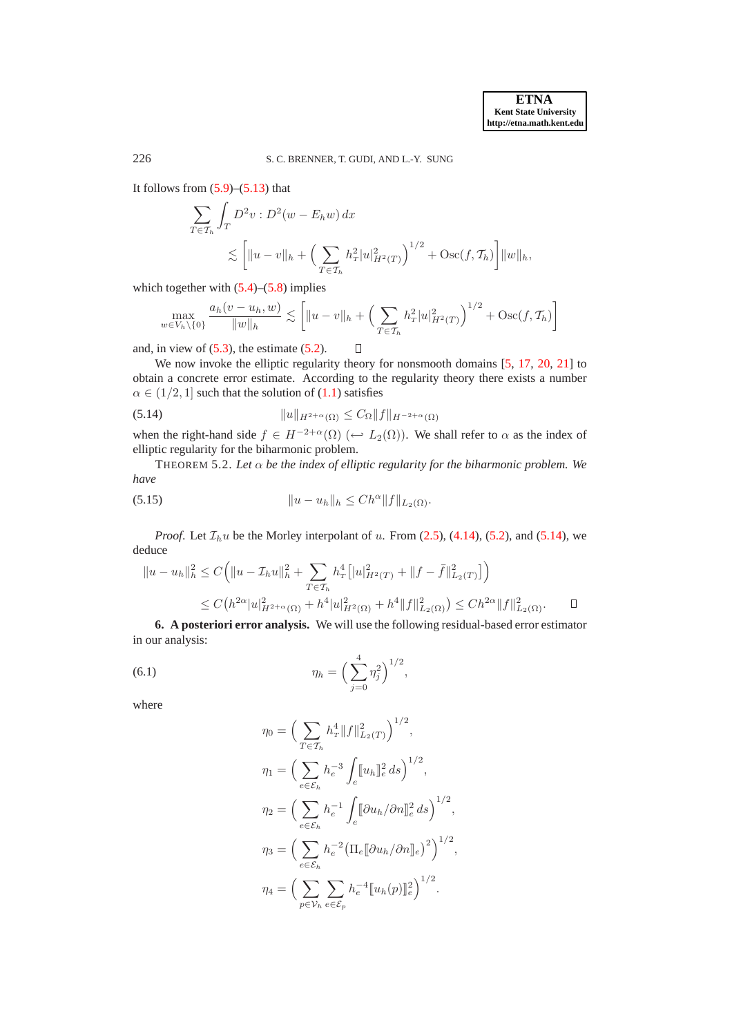It follows from  $(5.9)$ – $(5.13)$  that

$$
\sum_{T \in \mathcal{T}_h} \int_T D^2 v : D^2(w - E_h w) \, dx
$$
\n
$$
\lesssim \left[ \|u - v\|_h + \left( \sum_{T \in \mathcal{T}_h} h_T^2 |u|_{H^2(T)}^2 \right)^{1/2} + \text{Osc}(f, \mathcal{T}_h) \right] \|w\|_h,
$$

which together with  $(5.4)$ – $(5.8)$  implies

$$
\max_{w \in V_h \setminus \{0\}} \frac{a_h(v - u_h, w)}{\|w\|_h} \lesssim \left[ \|u - v\|_h + \left( \sum_{T \in \mathcal{T}_h} h_T^2 |u|_{H^2(T)}^2 \right)^{1/2} + \text{Osc}(f, \mathcal{T}_h) \right]
$$

and, in view of  $(5.3)$ , the estimate  $(5.2)$ .  $\Box$ 

We now invoke the elliptic regularity theory for nonsmooth domains [\[5,](#page-23-17) [17](#page-23-18), [20](#page-23-19), [21\]](#page-23-20) to obtain a concrete error estimate. According to the regularity theory there exists a number  $\alpha \in (1/2, 1]$  such that the solution of  $(1.1)$  satisfies

<span id="page-12-1"></span>
$$
(5.14) \t\t\t ||u||_{H^{2+\alpha}(\Omega)} \leq C_{\Omega} ||f||_{H^{-2+\alpha}(\Omega)}
$$

<span id="page-12-4"></span>when the right-hand side  $f \in H^{-2+\alpha}(\Omega)$  ( $\hookrightarrow L_2(\Omega)$ ). We shall refer to  $\alpha$  as the index of elliptic regularity for the biharmonic problem.

THEOREM 5.2. Let  $\alpha$  be the index of elliptic regularity for the biharmonic problem. We *have*

<span id="page-12-3"></span>(5.15) 
$$
||u - u_h||_h \leq Ch^{\alpha} ||f||_{L_2(\Omega)}.
$$

*Proof.* Let  $\mathcal{I}_h u$  be the Morley interpolant of u. From [\(2.5\)](#page-3-4), [\(4.14\)](#page-8-5), [\(5.2\)](#page-9-6), and [\(5.14\)](#page-12-1), we deduce

$$
||u - u_h||_h^2 \le C \Big( ||u - \mathcal{I}_h u||_h^2 + \sum_{T \in \mathcal{T}_h} h_T^4 [||u|_{H^2(T)}^2 + ||f - \bar{f}||_{L_2(T)}^2] \Big)
$$
  

$$
\le C \Big( h^{2\alpha} |u|_{H^{2+\alpha}(\Omega)}^2 + h^4 |u|_{H^2(\Omega)}^2 + h^4 ||f||_{L_2(\Omega)}^2 \Big) \le C h^{2\alpha} ||f||_{L_2(\Omega)}^2. \qquad \Box
$$

<span id="page-12-0"></span>**6. A posteriori error analysis.** We will use the following residual-based error estimator in our analysis:

(6.1) 
$$
\eta_h = \left(\sum_{j=0}^4 \eta_j^2\right)^{1/2},
$$

where

<span id="page-12-2"></span>
$$
\eta_0 = \Big( \sum_{T \in \mathcal{T}_h} h_T^4 \|f\|_{L_2(T)}^2 \Big)^{1/2},
$$
  
\n
$$
\eta_1 = \Big( \sum_{e \in \mathcal{E}_h} h_e^{-3} \int_e [u_h]_e^2 ds \Big)^{1/2},
$$
  
\n
$$
\eta_2 = \Big( \sum_{e \in \mathcal{E}_h} h_e^{-1} \int_e [ \partial u_h / \partial n \|_e^2 ds \Big)^{1/2},
$$
  
\n
$$
\eta_3 = \Big( \sum_{e \in \mathcal{E}_h} h_e^{-2} \Big( \Pi_e [ \partial u_h / \partial n ]_e \Big)^2 \Big)^{1/2},
$$
  
\n
$$
\eta_4 = \Big( \sum_{p \in \mathcal{V}_h} \sum_{e \in \mathcal{E}_p} h_e^{-4} [ [u_h(p) ]_e^2 \Big)^{1/2}.
$$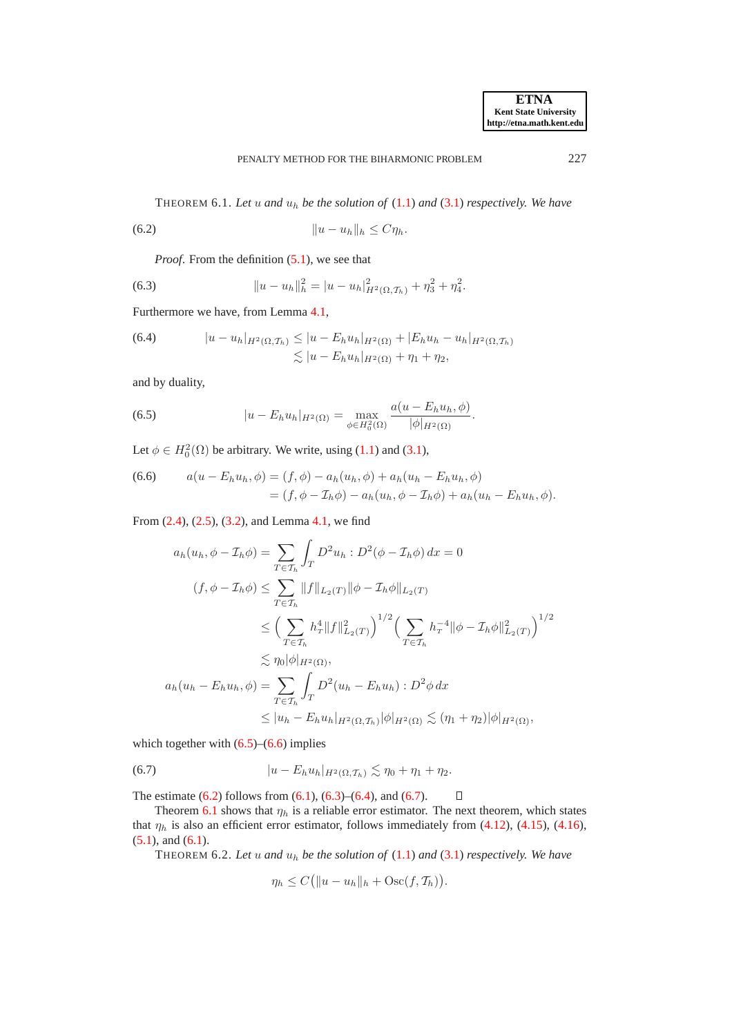<span id="page-13-6"></span><span id="page-13-2"></span>THEOREM 6.1. Let  $u$  and  $u_h$  be the solution of  $(1.1)$  and  $(3.1)$  respectively. We have

(6.2) ku − uhk<sup>h</sup> ≤ Cηh.

<span id="page-13-3"></span>*Proof.* From the definition  $(5.1)$ , we see that

(6.3) 
$$
||u - u_h||_h^2 = |u - u_h|_{H^2(\Omega, \mathcal{T}_h)}^2 + \eta_3^2 + \eta_4^2.
$$

Furthermore we have, from Lemma [4.1,](#page-6-6)

<span id="page-13-4"></span>(6.4) 
$$
|u - u_h|_{H^2(\Omega, \mathcal{T}_h)} \le |u - E_h u_h|_{H^2(\Omega)} + |E_h u_h - u_h|_{H^2(\Omega, \mathcal{T}_h)}
$$

$$
\lesssim |u - E_h u_h|_{H^2(\Omega)} + \eta_1 + \eta_2,
$$

and by duality,

<span id="page-13-0"></span>(6.5) 
$$
|u - E_h u_h|_{H^2(\Omega)} = \max_{\phi \in H_0^2(\Omega)} \frac{a(u - E_h u_h, \phi)}{|\phi|_{H^2(\Omega)}}.
$$

Let  $\phi \in H_0^2(\Omega)$  be arbitrary. We write, using [\(1.1\)](#page-0-0) and [\(3.1\)](#page-3-3),

<span id="page-13-1"></span>(6.6) 
$$
a(u - E_h u_h, \phi) = (f, \phi) - a_h(u_h, \phi) + a_h(u_h - E_h u_h, \phi) = (f, \phi - \mathcal{I}_h \phi) - a_h(u_h, \phi - \mathcal{I}_h \phi) + a_h(u_h - E_h u_h, \phi).
$$

From [\(2.4\)](#page-3-5), [\(2.5\)](#page-3-4), [\(3.2\)](#page-3-6), and Lemma [4.1,](#page-6-6) we find

$$
a_h(u_h, \phi - \mathcal{I}_h \phi) = \sum_{T \in \mathcal{T}_h} \int_T D^2 u_h : D^2(\phi - \mathcal{I}_h \phi) dx = 0
$$
  

$$
(f, \phi - \mathcal{I}_h \phi) \le \sum_{T \in \mathcal{T}_h} ||f||_{L_2(T)} ||\phi - \mathcal{I}_h \phi||_{L_2(T)}
$$
  

$$
\le \left(\sum_{T \in \mathcal{T}_h} h_T^4 ||f||_{L_2(T)}^2\right)^{1/2} \left(\sum_{T \in \mathcal{T}_h} h_T^{-4} ||\phi - \mathcal{I}_h \phi||_{L_2(T)}^2\right)^{1/2}
$$
  

$$
\lesssim \eta_0 |\phi|_{H^2(\Omega)},
$$
  

$$
a_h(u_h - E_h u_h, \phi) = \sum_{T \in \mathcal{T}_h} \int_T D^2(u_h - E_h u_h) : D^2 \phi dx
$$
  

$$
\le |u_h - E_h u_h|_{H^2(\Omega, \mathcal{T}_h)} |\phi|_{H^2(\Omega)} \lesssim (\eta_1 + \eta_2) |\phi|_{H^2(\Omega)},
$$

which together with  $(6.5)$ – $(6.6)$  implies

(6.7) 
$$
|u - E_h u_h|_{H^2(\Omega, \mathcal{T}_h)} \lesssim \eta_0 + \eta_1 + \eta_2.
$$

The estimate  $(6.2)$  follows from  $(6.1)$ ,  $(6.3)$ – $(6.4)$ , and  $(6.7)$ .  $\Box$ 

Theorem [6.1](#page-13-6) shows that  $\eta_h$  is a reliable error estimator. The next theorem, which states that  $\eta_h$  is also an efficient error estimator, follows immediately from [\(4.12\)](#page-8-2), [\(4.15\)](#page-9-7), [\(4.16\)](#page-9-1),  $(5.1)$ , and  $(6.1)$ .

<span id="page-13-7"></span>THEOREM 6.2. Let u and  $u_h$  be the solution of  $(1.1)$  and  $(3.1)$  respectively. We have

<span id="page-13-5"></span>
$$
\eta_h \le C \big( \|u - u_h\|_h + \mathrm{Osc}(f, \mathcal{T}_h) \big).
$$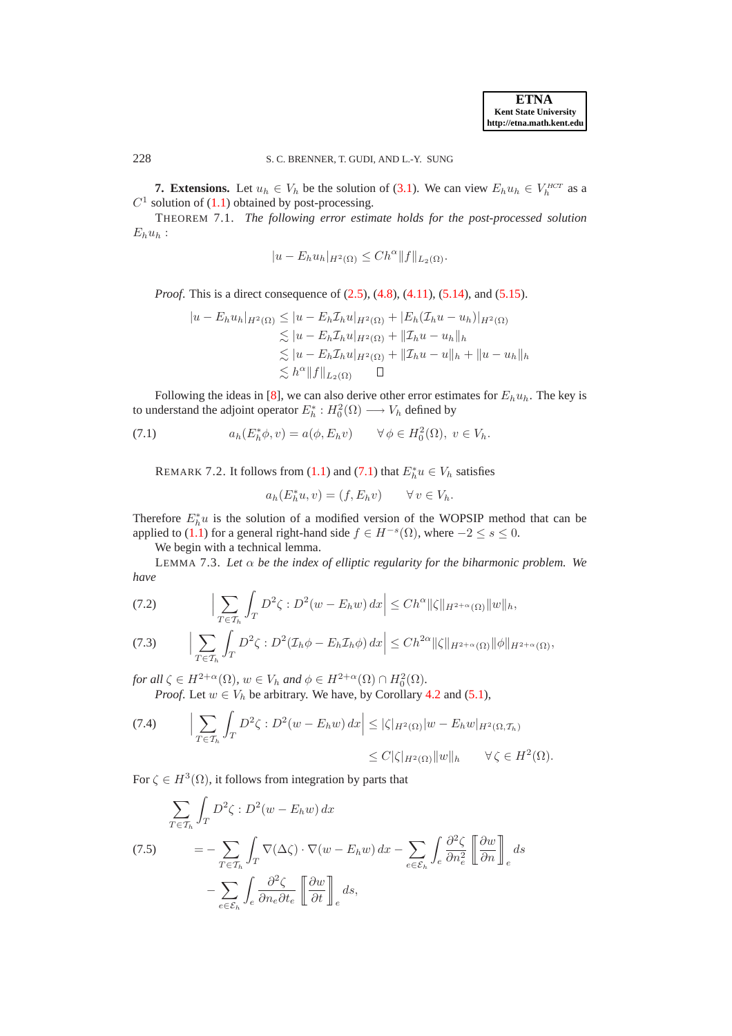**ETNA Kent State University http://etna.math.kent.edu**

228 S. C. BRENNER, T. GUDI, AND L.-Y. SUNG

**7. Extensions.** Let  $u_h \in V_h$  be the solution of [\(3.1\)](#page-3-3). We can view  $E_h u_h \in V_h^{HCT}$  as a  $C<sup>1</sup>$  solution of [\(1.1\)](#page-0-0) obtained by post-processing.

THEOREM 7.1. *The following error estimate holds for the post-processed solution*  $E_hu_h$ :

<span id="page-14-6"></span>
$$
|u - E_h u_h|_{H^2(\Omega)} \leq Ch^{\alpha} ||f||_{L_2(\Omega)}.
$$

*Proof.* This is a direct consequence of  $(2.5)$ ,  $(4.8)$ ,  $(4.11)$ ,  $(5.14)$ , and  $(5.15)$ .

$$
|u - E_h u_h|_{H^2(\Omega)} \le |u - E_h \mathcal{I}_h u|_{H^2(\Omega)} + |E_h (\mathcal{I}_h u - u_h)|_{H^2(\Omega)}
$$
  
\n
$$
\lesssim |u - E_h \mathcal{I}_h u|_{H^2(\Omega)} + ||\mathcal{I}_h u - u_h||_h
$$
  
\n
$$
\lesssim |u - E_h \mathcal{I}_h u|_{H^2(\Omega)} + ||\mathcal{I}_h u - u||_h + ||u - u_h||_h
$$
  
\n
$$
\lesssim h^{\alpha} ||f||_{L_2(\Omega)} \quad \Box
$$

Following the ideas in [\[8\]](#page-23-12), we can also derive other error estimates for  $E_h u_h$ . The key is to understand the adjoint operator  $E_h^*: H_0^2(\Omega) \longrightarrow V_h$  defined by

<span id="page-14-7"></span>(7.1) 
$$
a_h(E_h^*\phi, v) = a(\phi, E_h v) \qquad \forall \phi \in H_0^2(\Omega), \ v \in V_h.
$$

REMARK 7.2. It follows from [\(1.1\)](#page-0-0) and [\(7.1\)](#page-14-1) that  $E_h^*u \in V_h$  satisfies

<span id="page-14-1"></span>
$$
a_h(E_h^*u, v) = (f, E_h v) \qquad \forall v \in V_h.
$$

Therefore  $E_h^*u$  is the solution of a modified version of the WOPSIP method that can be applied to [\(1.1\)](#page-0-0) for a general right-hand side  $f \in H^{-s}(\Omega)$ , where  $-2 \le s \le 0$ .

We begin with a technical lemma.

LEMMA 7.3. Let  $\alpha$  be the index of elliptic regularity for the biharmonic problem. We *have*

<span id="page-14-3"></span>(7.2) 
$$
\left|\sum_{T\in\mathcal{T}_h}\int_T D^2\zeta : D^2(w - E_h w) dx\right| \leq Ch^{\alpha} \|\zeta\|_{H^{2+\alpha}(\Omega)} \|w\|_h,
$$

<span id="page-14-5"></span>
$$
(7.3) \qquad \Big|\sum_{T\in\mathcal{T}_h}\int_{T} D^2\zeta : D^2(\mathcal{I}_h\phi - E_h\mathcal{I}_h\phi)\,dx\Big|\leq Ch^{2\alpha}\|\zeta\|_{H^{2+\alpha}(\Omega)}\|\phi\|_{H^{2+\alpha}(\Omega)},
$$

*for all*  $\zeta \in H^{2+\alpha}(\Omega)$ ,  $w \in V_h$  *and*  $\phi \in H^{2+\alpha}(\Omega) \cap H_0^2(\Omega)$ .

*Proof.* Let  $w \in V_h$  be arbitrary. We have, by Corollary [4.2](#page-7-3) and [\(5.1\)](#page-9-2),

<span id="page-14-4"></span>
$$
(7.4) \qquad \Big| \sum_{T \in \mathcal{T}_h} \int_T D^2 \zeta : D^2(w - E_h w) \, dx \Big| \le |\zeta|_{H^2(\Omega)} |w - E_h w|_{H^2(\Omega, \mathcal{T}_h)}
$$
  

$$
\le C |\zeta|_{H^2(\Omega)} ||w||_h \qquad \forall \zeta \in H^2(\Omega).
$$

For  $\zeta \in H^3(\Omega)$ , it follows from integration by parts that

<span id="page-14-2"></span>
$$
\sum_{T \in \mathcal{T}_h} \int_T D^2 \zeta : D^2(w - E_h w) \, dx
$$
\n
$$
(7.5) \qquad = -\sum_{T \in \mathcal{T}_h} \int_T \nabla(\Delta \zeta) \cdot \nabla(w - E_h w) \, dx - \sum_{e \in \mathcal{E}_h} \int_e \frac{\partial^2 \zeta}{\partial n_e^2} \left[ \frac{\partial w}{\partial n} \right]_e \, ds
$$
\n
$$
- \sum_{e \in \mathcal{E}_h} \int_e \frac{\partial^2 \zeta}{\partial n_e \partial t_e} \left[ \frac{\partial w}{\partial t} \right]_e \, ds,
$$

<span id="page-14-0"></span>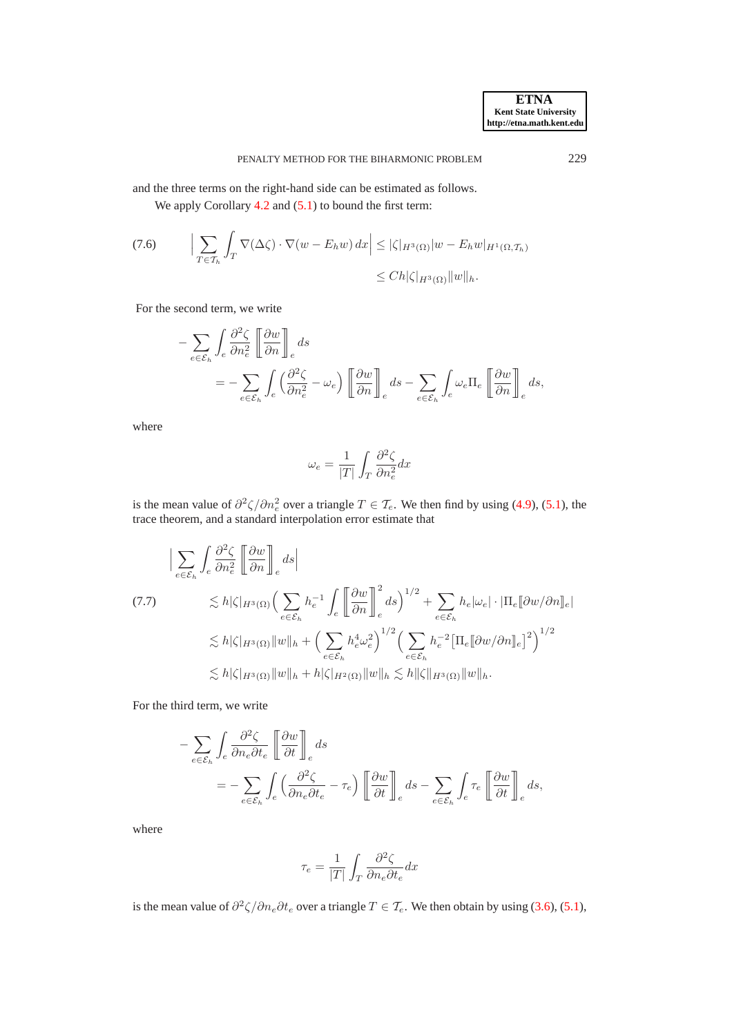and the three terms on the right-hand side can be estimated as follows.

We apply Corollary [4.2](#page-7-3) and  $(5.1)$  to bound the first term:

$$
(7.6) \qquad \Big| \sum_{T \in \mathcal{T}_h} \int_T \nabla(\Delta \zeta) \cdot \nabla(w - E_h w) \, dx \Big| \le |\zeta|_{H^3(\Omega)} |w - E_h w|_{H^1(\Omega, \mathcal{T}_h)}
$$
  

$$
\le Ch |\zeta|_{H^3(\Omega)} \|w\|_h.
$$

For the second term, we write

$$
- \sum_{e \in \mathcal{E}_h} \int_e \frac{\partial^2 \zeta}{\partial n_e^2} \left[ \frac{\partial w}{\partial n} \right]_e ds
$$
  
= 
$$
- \sum_{e \in \mathcal{E}_h} \int_e \left( \frac{\partial^2 \zeta}{\partial n_e^2} - \omega_e \right) \left[ \frac{\partial w}{\partial n} \right]_e ds - \sum_{e \in \mathcal{E}_h} \int_e \omega_e \Pi_e \left[ \frac{\partial w}{\partial n} \right]_e ds,
$$

where

$$
\omega_e = \frac{1}{|T|} \int_T \frac{\partial^2 \zeta}{\partial n_e^2} dx
$$

is the mean value of  $\partial^2 \zeta / \partial n_e^2$  over a triangle  $T \in \mathcal{T}_e$ . We then find by using [\(4.9\)](#page-7-1), [\(5.1\)](#page-9-2), the trace theorem, and a standard interpolation error estimate that

$$
\begin{split}\n&\left|\sum_{e\in\mathcal{E}_{h}}\int_{e}\frac{\partial^{2}\zeta}{\partial n_{e}^{2}}\left[\frac{\partial w}{\partial n}\right]_{e}ds\right| \\
&\leq h|\zeta|_{H^{3}(\Omega)}\left(\sum_{e\in\mathcal{E}_{h}}h_{e}^{-1}\int_{e}\left[\frac{\partial w}{\partial n}\right]_{e}^{2}ds\right)^{1/2} + \sum_{e\in\mathcal{E}_{h}}h_{e}|\omega_{e}|\cdot|\Pi_{e}[\partial w/\partial n]_{e}| \\
&\leq h|\zeta|_{H^{3}(\Omega)}\|w\|_{h} + \left(\sum_{e\in\mathcal{E}_{h}}h_{e}^{4}\omega_{e}^{2}\right)^{1/2}\left(\sum_{e\in\mathcal{E}_{h}}h_{e}^{-2}\left[\Pi_{e}[\partial w/\partial n]_{e}\right]^{2}\right)^{1/2} \\
&\leq h|\zeta|_{H^{3}(\Omega)}\|w\|_{h} + h|\zeta|_{H^{2}(\Omega)}\|w\|_{h} \lesssim h\|\zeta\|_{H^{3}(\Omega)}\|w\|_{h}.\n\end{split}
$$

For the third term, we write

$$
- \sum_{e \in \mathcal{E}_h} \int_e \frac{\partial^2 \zeta}{\partial n_e \partial t_e} \left[ \frac{\partial w}{\partial t} \right]_e ds
$$
  
= 
$$
- \sum_{e \in \mathcal{E}_h} \int_e \left( \frac{\partial^2 \zeta}{\partial n_e \partial t_e} - \tau_e \right) \left[ \frac{\partial w}{\partial t} \right]_e ds - \sum_{e \in \mathcal{E}_h} \int_e \tau_e \left[ \frac{\partial w}{\partial t} \right]_e ds,
$$

where

$$
\tau_e = \frac{1}{|T|} \int_T \frac{\partial^2 \zeta}{\partial n_e \partial t_e} dx
$$

is the mean value of  $\partial^2 \zeta / \partial n_e \partial t_e$  over a triangle  $T \in \mathcal{T}_e$ . We then obtain by using [\(3.6\)](#page-5-4), [\(5.1\)](#page-9-2),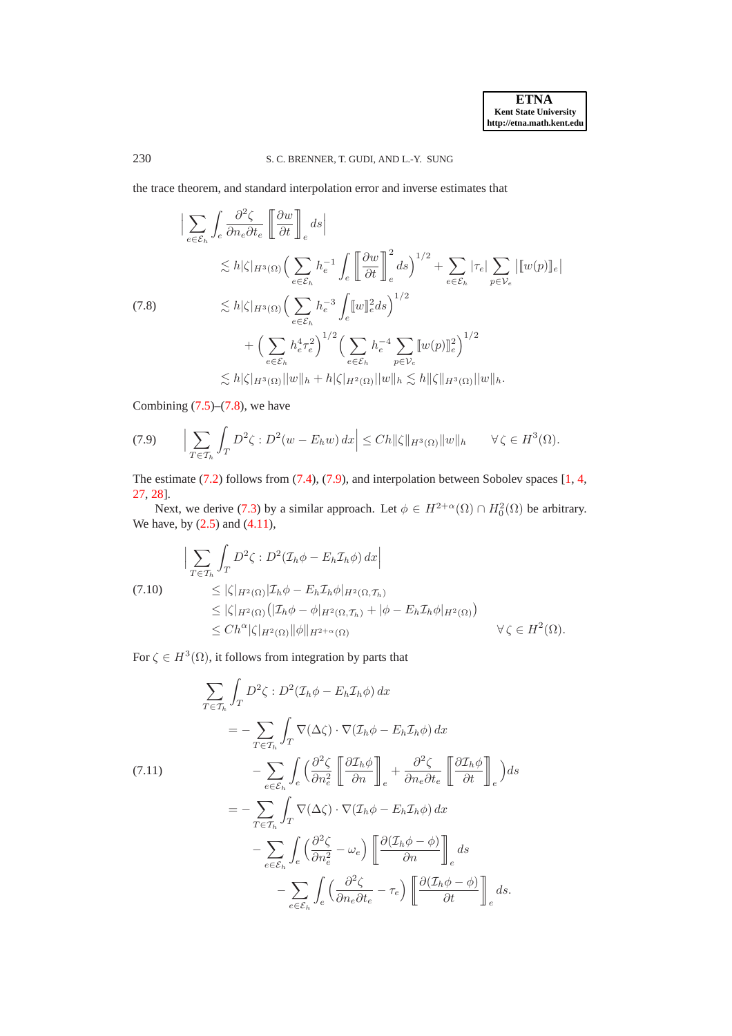the trace theorem, and standard interpolation error and inverse estimates that

<span id="page-16-0"></span>
$$
\begin{split}\n&\left|\sum_{e\in\mathcal{E}_{h}}\int_{e}\frac{\partial^{2}\zeta}{\partial n_{e}\partial t_{e}}\left[\frac{\partial w}{\partial t}\right]_{e}ds\right| \\
&\lesssim h|\zeta|_{H^{3}(\Omega)}\left(\sum_{e\in\mathcal{E}_{h}}h_{e}^{-1}\int_{e}\left[\frac{\partial w}{\partial t}\right]_{e}^{2}ds\right)^{1/2} + \sum_{e\in\mathcal{E}_{h}}|\tau_{e}|\sum_{p\in\mathcal{V}_{e}}\left[\left[w(p)\right]\right]_{e}\right| \\
&\lesssim h|\zeta|_{H^{3}(\Omega)}\left(\sum_{e\in\mathcal{E}_{h}}h_{e}^{-3}\int_{e}\left[w\right]\right]_{e}^{2}ds\right)^{1/2} \\
&\quad+\left(\sum_{e\in\mathcal{E}_{h}}h_{e}^{4}\tau_{e}^{2}\right)^{1/2}\left(\sum_{e\in\mathcal{E}_{h}}h_{e}^{-4}\sum_{p\in\mathcal{V}_{e}}\left[w(p)\right]\right]_{e}^{2}\right)^{1/2} \\
&\lesssim h|\zeta|_{H^{3}(\Omega)}\|w\|_{h} + h|\zeta|_{H^{2}(\Omega)}\|w\|_{h} \lesssim h\|\zeta\|_{H^{3}(\Omega)}\|w\|_{h}.\n\end{split}
$$

Combining  $(7.5)$ – $(7.8)$ , we have

<span id="page-16-1"></span>
$$
(7.9) \qquad \Big|\sum_{T\in\mathcal{T}_h}\int_T D^2\zeta : D^2(w - E_h w)\,dx\Big|\leq Ch \|\zeta\|_{H^3(\Omega)} \|w\|_h \qquad \forall \,\zeta\in H^3(\Omega).
$$

The estimate [\(7.2\)](#page-14-3) follows from [\(7.4\)](#page-14-4), [\(7.9\)](#page-16-1), and interpolation between Sobolev spaces [\[1](#page-23-3), [4,](#page-23-21) [27,](#page-24-3) [28\]](#page-24-4).

Next, we derive [\(7.3\)](#page-14-5) by a similar approach. Let  $\phi \in H^{2+\alpha}(\Omega) \cap H_0^2(\Omega)$  be arbitrary. We have, by [\(2.5\)](#page-3-4) and [\(4.11\)](#page-8-1),

<span id="page-16-3"></span>
$$
\left| \sum_{T \in \mathcal{T}_h} \int_T D^2 \zeta : D^2 (\mathcal{I}_h \phi - E_h \mathcal{I}_h \phi) \, dx \right|
$$
  
(7.10)  

$$
\leq |\zeta|_{H^2(\Omega)} |\mathcal{I}_h \phi - E_h \mathcal{I}_h \phi|_{H^2(\Omega, \mathcal{T}_h)}
$$
  

$$
\leq |\zeta|_{H^2(\Omega)} (|\mathcal{I}_h \phi - \phi|_{H^2(\Omega, \mathcal{T}_h)} + |\phi - E_h \mathcal{I}_h \phi|_{H^2(\Omega)})
$$
  

$$
\leq C h^{\alpha} |\zeta|_{H^2(\Omega)} ||\phi||_{H^{2+\alpha}(\Omega)}
$$
  $\forall \zeta \in H^2(\Omega).$ 

For  $\zeta \in H^3(\Omega)$ , it follows from integration by parts that

<span id="page-16-2"></span>
$$
\sum_{T \in \mathcal{T}_h} \int_T D^2 \zeta : D^2 (\mathcal{I}_h \phi - E_h \mathcal{I}_h \phi) dx
$$
  
=  $-\sum_{T \in \mathcal{T}_h} \int_T \nabla (\Delta \zeta) \cdot \nabla (\mathcal{I}_h \phi - E_h \mathcal{I}_h \phi) dx$   
(7.11)  

$$
-\sum_{e \in \mathcal{E}_h} \int_e \left( \frac{\partial^2 \zeta}{\partial n_e^2} \left[ \frac{\partial \mathcal{I}_h \phi}{\partial n} \right]_e + \frac{\partial^2 \zeta}{\partial n_e \partial t_e} \left[ \frac{\partial \mathcal{I}_h \phi}{\partial t} \right]_e \right) ds
$$
  
=  $-\sum_{T \in \mathcal{T}_h} \int_T \nabla (\Delta \zeta) \cdot \nabla (\mathcal{I}_h \phi - E_h \mathcal{I}_h \phi) dx$   

$$
-\sum_{e \in \mathcal{E}_h} \int_e \left( \frac{\partial^2 \zeta}{\partial n_e^2} - \omega_e \right) \left[ \frac{\partial (\mathcal{I}_h \phi - \phi)}{\partial n} \right]_e ds
$$
  

$$
-\sum_{e \in \mathcal{E}_h} \int_e \left( \frac{\partial^2 \zeta}{\partial n_e \partial t_e} - \tau_e \right) \left[ \frac{\partial (\mathcal{I}_h \phi - \phi)}{\partial t} \right]_e ds.
$$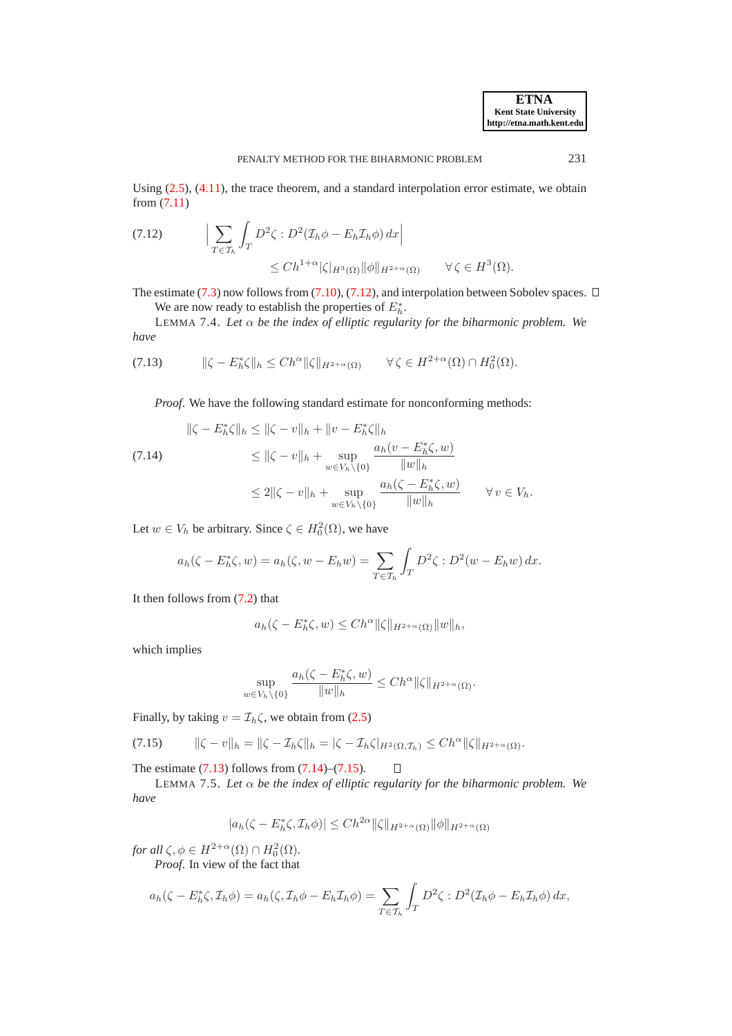Using  $(2.5)$ ,  $(4.11)$ , the trace theorem, and a standard interpolation error estimate, we obtain from [\(7.11\)](#page-16-2)

<span id="page-17-0"></span>
$$
\begin{aligned} \text{(7.12)} \qquad & \left| \sum_{T \in \mathcal{T}_h} \int_T D^2 \zeta : D^2(\mathcal{I}_h \phi - E_h \mathcal{I}_h \phi) \, dx \right| \\ &\leq Ch^{1+\alpha} |\zeta|_{H^3(\Omega)} \|\phi\|_{H^{2+\alpha}(\Omega)} \qquad \forall \, \zeta \in H^3(\Omega). \end{aligned}
$$

The estimate [\(7.3\)](#page-14-5) now follows from [\(7.10\)](#page-16-3), [\(7.12\)](#page-17-0), and interpolation between Sobolev spaces.  $\Box$ We are now ready to establish the properties of  $E_h^*$ .

LEMMA 7.4. *Let* α *be the index of elliptic regularity for the biharmonic problem. We have*

$$
(7.13) \t\t ||\zeta - E_h^*\zeta||_h \le Ch^{\alpha} \|\zeta\|_{H^{2+\alpha}(\Omega)} \t\t \forall \zeta \in H^{2+\alpha}(\Omega) \cap H_0^2(\Omega).
$$

<span id="page-17-4"></span><span id="page-17-1"></span>*Proof.* We have the following standard estimate for nonconforming methods:

<span id="page-17-2"></span>
$$
\|\zeta - E_h^*\zeta\|_h \le \|\zeta - v\|_h + \|v - E_h^*\zeta\|_h
$$
  
(7.14)  

$$
\le \|\zeta - v\|_h + \sup_{w \in V_h \setminus \{0\}} \frac{a_h(v - E_h^*\zeta, w)}{\|w\|_h}
$$
  

$$
\le 2\|\zeta - v\|_h + \sup_{w \in V_h \setminus \{0\}} \frac{a_h(\zeta - E_h^*\zeta, w)}{\|w\|_h} \qquad \forall v \in V_h.
$$

Let  $w \in V_h$  be arbitrary. Since  $\zeta \in H_0^2(\Omega)$ , we have

$$
a_h(\zeta - E_h^*\zeta, w) = a_h(\zeta, w - E_h w) = \sum_{T \in \mathcal{T}_h} \int_T D^2 \zeta : D^2(w - E_h w) \, dx.
$$

It then follows from [\(7.2\)](#page-14-3) that

$$
a_h(\zeta - E_h^*\zeta, w) \le Ch^{\alpha} \|\zeta\|_{H^{2+\alpha}(\Omega)} \|w\|_h,
$$

which implies

$$
\sup_{w \in V_h \setminus \{0\}} \frac{a_h(\zeta - E_h^*\zeta, w)}{\|w\|_h} \le Ch^\alpha \|\zeta\|_{H^{2+\alpha}(\Omega)}.
$$

Finally, by taking  $v = \mathcal{I}_h \zeta$ , we obtain from [\(2.5\)](#page-3-4)

<span id="page-17-3"></span>
$$
(7.15) \qquad \|\zeta - v\|_h = \|\zeta - \mathcal{I}_h\zeta\|_h = |\zeta - \mathcal{I}_h\zeta|_{H^2(\Omega, \mathcal{T}_h)} \le Ch^\alpha \|\zeta\|_{H^{2+\alpha}(\Omega)}.
$$

<span id="page-17-5"></span>The estimate  $(7.13)$  follows from  $(7.14)$ – $(7.15)$ .

LEMMA 7.5. *Let* α *be the index of elliptic regularity for the biharmonic problem. We have*

 $\Box$ 

$$
|a_h(\zeta - E_h^*\zeta, \mathcal{I}_h \phi)| \le Ch^{2\alpha} \|\zeta\|_{H^{2+\alpha}(\Omega)} \|\phi\|_{H^{2+\alpha}(\Omega)}
$$

*for all*  $\zeta, \phi \in H^{2+\alpha}(\Omega) \cap H_0^2(\Omega)$ *.* 

*Proof*. In view of the fact that

$$
a_h(\zeta - E_h^*\zeta, \mathcal{I}_h \phi) = a_h(\zeta, \mathcal{I}_h \phi - E_h \mathcal{I}_h \phi) = \sum_{T \in \mathcal{T}_h} \int_T D^2 \zeta : D^2(\mathcal{I}_h \phi - E_h \mathcal{I}_h \phi) dx,
$$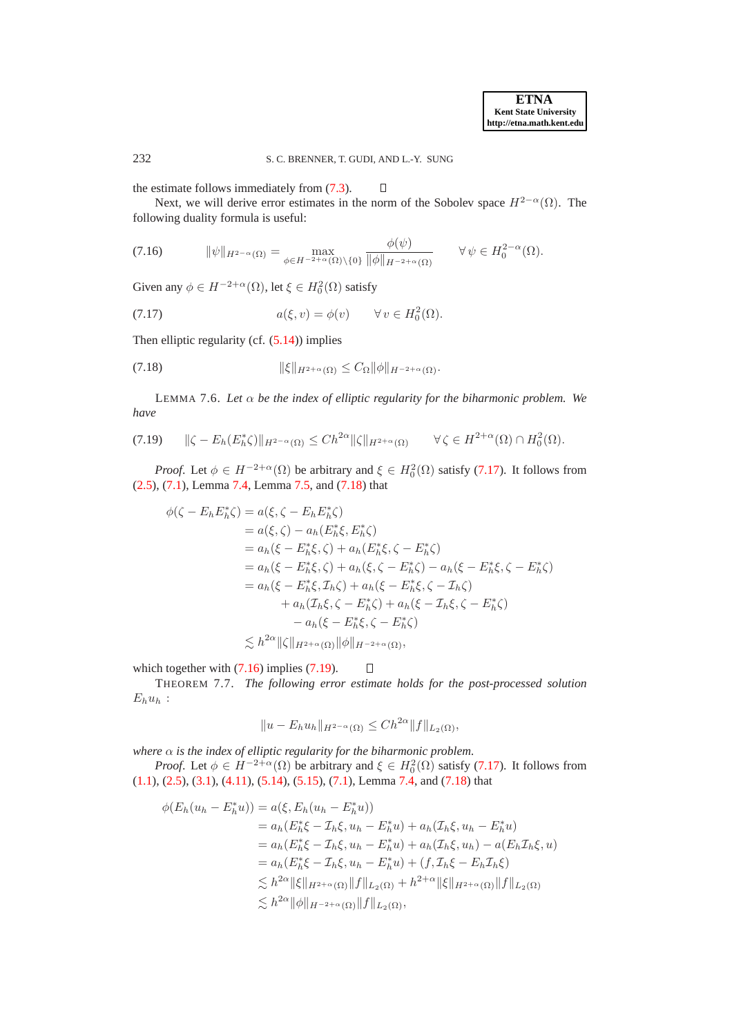the estimate follows immediately from [\(7.3\)](#page-14-5).

Next, we will derive error estimates in the norm of the Sobolev space  $H^{2-\alpha}(\Omega)$ . The following duality formula is useful:

 $\Box$ 

<span id="page-18-2"></span>
$$
(7.16) \t\t\t\t\|\psi\|_{H^{2-\alpha}(\Omega)} = \max_{\phi \in H^{-2+\alpha}(\Omega) \setminus \{0\}} \frac{\phi(\psi)}{\|\phi\|_{H^{-2+\alpha}(\Omega)}} \t\t\t\t\forall \psi \in H^{2-\alpha}_0(\Omega).
$$

Given any  $\phi \in H^{-2+\alpha}(\Omega)$ , let  $\xi \in H_0^2(\Omega)$  satisfy

<span id="page-18-0"></span>(7.17) 
$$
a(\xi, v) = \phi(v) \qquad \forall v \in H_0^2(\Omega).
$$

Then elliptic regularity (cf. [\(5.14\)](#page-12-1)) implies

<span id="page-18-1"></span>
$$
||\xi||_{H^{2+\alpha}(\Omega)} \leq C_{\Omega} ||\phi||_{H^{-2+\alpha}(\Omega)}.
$$

<span id="page-18-4"></span>LEMMA 7.6. *Let* α *be the index of elliptic regularity for the biharmonic problem. We have*

<span id="page-18-3"></span>
$$
(7.19) \qquad \|\zeta - E_h(E_h^*\zeta)\|_{H^{2-\alpha}(\Omega)} \le Ch^{2\alpha} \|\zeta\|_{H^{2+\alpha}(\Omega)} \qquad \forall \zeta \in H^{2+\alpha}(\Omega) \cap H_0^2(\Omega).
$$

*Proof.* Let  $\phi \in H^{-2+\alpha}(\Omega)$  be arbitrary and  $\xi \in H_0^2(\Omega)$  satisfy [\(7.17\)](#page-18-0). It follows from [\(2.5\)](#page-3-4), [\(7.1\)](#page-14-1), Lemma [7.4,](#page-17-4) Lemma [7.5,](#page-17-5) and [\(7.18\)](#page-18-1) that

$$
\phi(\zeta - E_h E_h^* \zeta) = a(\xi, \zeta - E_h E_h^* \zeta) \n= a(\xi, \zeta) - a_h(E_h^* \xi, E_h^* \zeta) \n= a_h(\xi - E_h^* \xi, \zeta) + a_h(E_h^* \xi, \zeta - E_h^* \zeta) \n= a_h(\xi - E_h^* \xi, \zeta) + a_h(\xi, \zeta - E_h^* \zeta) - a_h(\xi - E_h^* \xi, \zeta - E_h^* \zeta) \n= a_h(\xi - E_h^* \xi, \zeta_h \zeta) + a_h(\xi - E_h^* \xi, \zeta - \zeta_h \zeta) \n+ a_h(\zeta_h \xi, \zeta - E_h^* \zeta) + a_h(\xi - \zeta_h \xi, \zeta - E_h^* \zeta) \n- a_h(\xi - E_h^* \xi, \zeta - E_h^* \zeta) \n\lesssim h^{2\alpha} \|\zeta\|_{H^{2+\alpha}(\Omega)} \|\phi\|_{H^{-2+\alpha}(\Omega)},
$$

which together with  $(7.16)$  implies  $(7.19)$ .

THEOREM 7.7. *The following error estimate holds for the post-processed solution*  $E_hu_h$ :

<span id="page-18-5"></span> $\Box$ 

$$
||u - E_h u_h||_{H^{2-\alpha}(\Omega)} \le Ch^{2\alpha} ||f||_{L_2(\Omega)},
$$

*where*  $\alpha$  *is the index of elliptic regularity for the biharmonic problem.* 

*Proof.* Let  $\phi \in H^{-2+\alpha}(\Omega)$  be arbitrary and  $\xi \in H_0^2(\Omega)$  satisfy [\(7.17\)](#page-18-0). It follows from [\(1.1\)](#page-0-0), [\(2.5\)](#page-3-4), [\(3.1\)](#page-3-3), [\(4.11\)](#page-8-1), [\(5.14\)](#page-12-1), [\(5.15\)](#page-12-3), [\(7.1\)](#page-14-1), Lemma [7.4,](#page-17-4) and [\(7.18\)](#page-18-1) that

$$
\phi(E_h(u_h - E_h^*u)) = a(\xi, E_h(u_h - E_h^*u))
$$
  
\n
$$
= a_h(E_h^*\xi - \mathcal{I}_h\xi, u_h - E_h^*u) + a_h(\mathcal{I}_h\xi, u_h - E_h^*u)
$$
  
\n
$$
= a_h(E_h^*\xi - \mathcal{I}_h\xi, u_h - E_h^*u) + a_h(\mathcal{I}_h\xi, u_h) - a(E_h\mathcal{I}_h\xi, u)
$$
  
\n
$$
= a_h(E_h^*\xi - \mathcal{I}_h\xi, u_h - E_h^*u) + (f, \mathcal{I}_h\xi - E_h\mathcal{I}_h\xi)
$$
  
\n
$$
\lesssim h^{2\alpha} \|\xi\|_{H^{2+\alpha}(\Omega)} \|f\|_{L_2(\Omega)} + h^{2+\alpha} \|\xi\|_{H^{2+\alpha}(\Omega)} \|f\|_{L_2(\Omega)}
$$
  
\n
$$
\lesssim h^{2\alpha} \|\phi\|_{H^{-2+\alpha}(\Omega)} \|f\|_{L_2(\Omega)},
$$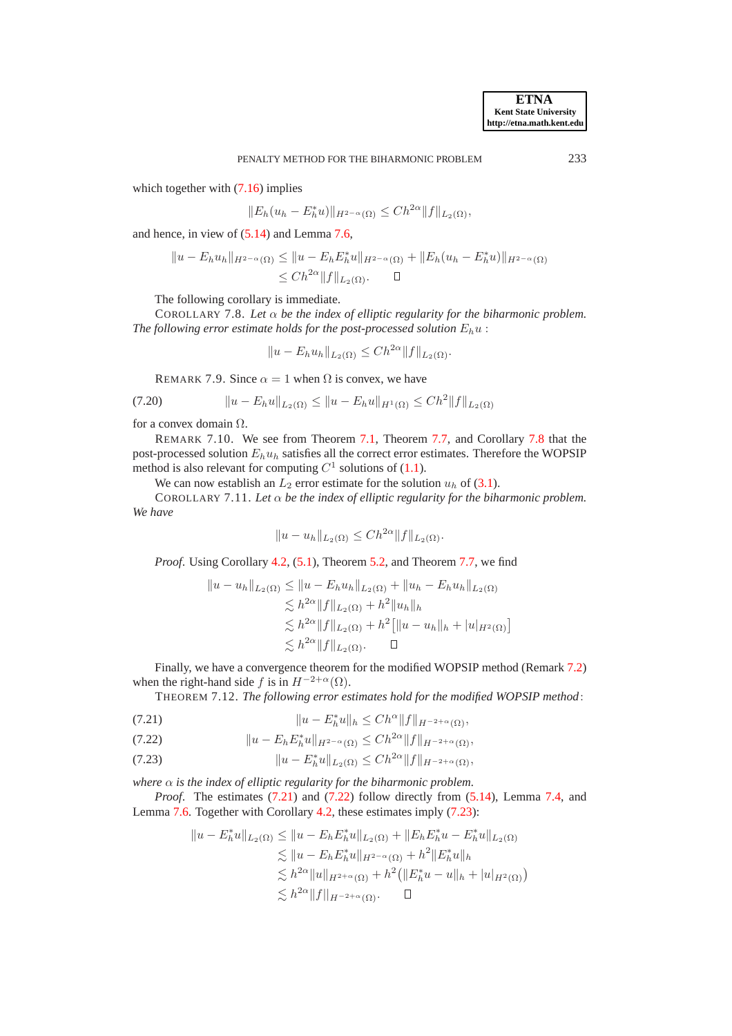which together with  $(7.16)$  implies

$$
||E_h(u_h - E_h^*u)||_{H^{2-\alpha}(\Omega)} \le Ch^{2\alpha} ||f||_{L_2(\Omega)},
$$

and hence, in view of [\(5.14\)](#page-12-1) and Lemma [7.6,](#page-18-4)

$$
||u - E_h u_h||_{H^{2-\alpha}(\Omega)} \le ||u - E_h E_h^* u||_{H^{2-\alpha}(\Omega)} + ||E_h(u_h - E_h^* u)||_{H^{2-\alpha}(\Omega)}
$$
  

$$
\le C h^{2\alpha} ||f||_{L_2(\Omega)}.
$$

The following corollary is immediate.

COROLLARY 7.8. Let  $\alpha$  *be the index of elliptic regularity for the biharmonic problem.* The following error estimate holds for the post-processed solution  $E_h u$ :

<span id="page-19-5"></span><span id="page-19-0"></span>
$$
||u - E_h u_h||_{L_2(\Omega)} \leq Ch^{2\alpha} ||f||_{L_2(\Omega)}.
$$

REMARK 7.9. Since  $\alpha = 1$  when  $\Omega$  is convex, we have

$$
(7.20) \t\t ||u - E_h u||_{L_2(\Omega)} \le ||u - E_h u||_{H^1(\Omega)} \le C h^2 ||f||_{L_2(\Omega)}
$$

for a convex domain Ω.

REMARK 7.10. We see from Theorem [7.1,](#page-14-6) Theorem [7.7,](#page-18-5) and Corollary [7.8](#page-19-0) that the post-processed solution  $E_h u_h$  satisfies all the correct error estimates. Therefore the WOPSIP method is also relevant for computing  $C^1$  solutions of [\(1.1\)](#page-0-0).

We can now establish an  $L_2$  error estimate for the solution  $u_h$  of [\(3.1\)](#page-3-3).

COROLLARY 7.11. *Let* α *be the index of elliptic regularity for the biharmonic problem. We have*

<span id="page-19-4"></span>
$$
||u - u_h||_{L_2(\Omega)} \le Ch^{2\alpha} ||f||_{L_2(\Omega)}.
$$

*Proof.* Using Corollary [4.2,](#page-7-3) [\(5.1\)](#page-9-2), Theorem [5.2,](#page-12-4) and Theorem [7.7,](#page-18-5) we find

$$
||u - u_h||_{L_2(\Omega)} \le ||u - E_h u_h||_{L_2(\Omega)} + ||u_h - E_h u_h||_{L_2(\Omega)}
$$
  
\n
$$
\lesssim h^{2\alpha} ||f||_{L_2(\Omega)} + h^2 ||u_h||_h
$$
  
\n
$$
\lesssim h^{2\alpha} ||f||_{L_2(\Omega)} + h^2 [||u - u_h||_h + |u|_{H^2(\Omega)}]
$$
  
\n
$$
\lesssim h^{2\alpha} ||f||_{L_2(\Omega)} .
$$

Finally, we have a convergence theorem for the modified WOPSIP method (Remark [7.2\)](#page-14-7) when the right-hand side f is in  $H^{-2+\alpha}(\Omega)$ .

THEOREM 7.12. *The following error estimates hold for the modified WOPSIP method*:

<span id="page-19-1"></span>(7.21) 
$$
||u - E_h^* u||_h \leq Ch^{\alpha} ||f||_{H^{-2+\alpha}(\Omega)},
$$

<span id="page-19-2"></span>(7.22) 
$$
||u - E_h E_h^* u||_{H^{2-\alpha}(\Omega)} \leq C h^{2\alpha} ||f||_{H^{-2+\alpha}(\Omega)},
$$

<span id="page-19-3"></span>(7.23) 
$$
||u - E_h^* u||_{L_2(\Omega)} \leq C h^{2\alpha} ||f||_{H^{-2+\alpha}(\Omega)},
$$

*where*  $\alpha$  *is the index of elliptic regularity for the biharmonic problem.* 

*Proof.* The estimates [\(7.21\)](#page-19-1) and [\(7.22\)](#page-19-2) follow directly from [\(5.14\)](#page-12-1), Lemma [7.4,](#page-17-4) and Lemma [7.6.](#page-18-4) Together with Corollary [4.2,](#page-7-3) these estimates imply [\(7.23\)](#page-19-3):

$$
||u - E_h^* u||_{L_2(\Omega)} \le ||u - E_h E_h^* u||_{L_2(\Omega)} + ||E_h E_h^* u - E_h^* u||_{L_2(\Omega)}
$$
  
\n
$$
\le ||u - E_h E_h^* u||_{H^{2-\alpha}(\Omega)} + h^2 ||E_h^* u||_h
$$
  
\n
$$
\le h^{2\alpha} ||u||_{H^{2+\alpha}(\Omega)} + h^2 (||E_h^* u - u||_h + |u|_{H^2(\Omega)})
$$
  
\n
$$
\le h^{2\alpha} ||f||_{H^{-2+\alpha}(\Omega)} . \quad \Box
$$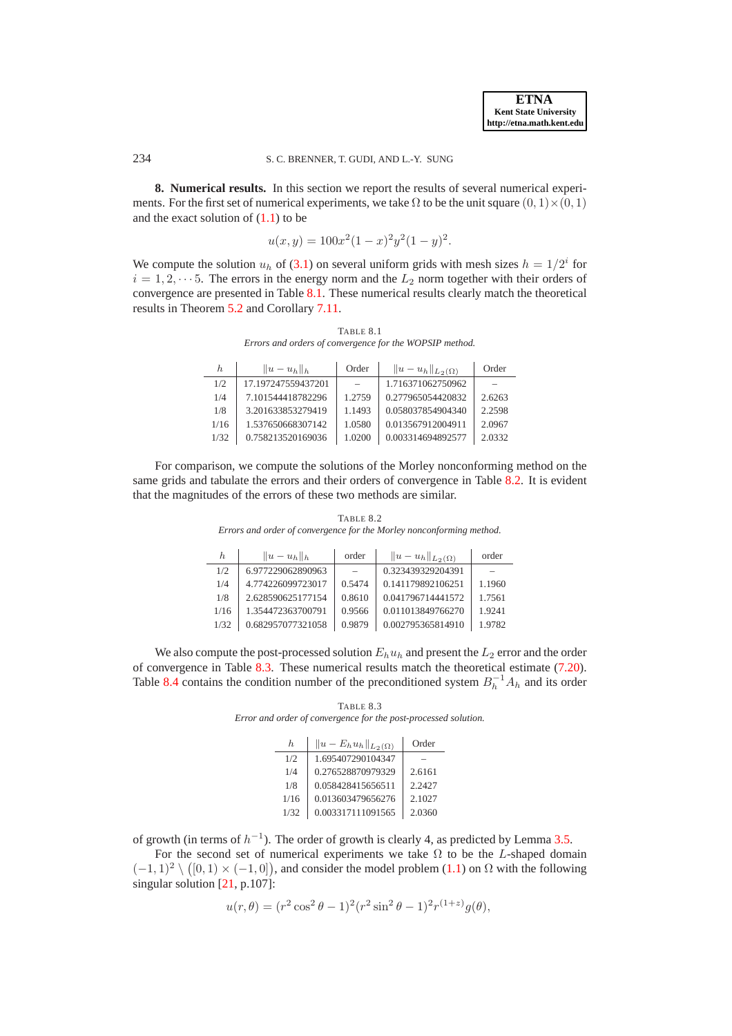<span id="page-20-0"></span>**8. Numerical results.** In this section we report the results of several numerical experiments. For the first set of numerical experiments, we take  $\Omega$  to be the unit square  $(0, 1) \times (0, 1)$ and the exact solution of  $(1.1)$  to be

$$
u(x,y) = 100x^2(1-x)^2y^2(1-y)^2.
$$

We compute the solution  $u_h$  of [\(3.1\)](#page-3-3) on several uniform grids with mesh sizes  $h = 1/2<sup>i</sup>$  for  $i = 1, 2, \dots 5$ . The errors in the energy norm and the  $L_2$  norm together with their orders of convergence are presented in Table [8.1.](#page-20-1) These numerical results clearly match the theoretical results in Theorem [5.2](#page-12-4) and Corollary [7.11.](#page-19-4)

<span id="page-20-1"></span>TABLE 8.1 *Errors and orders of convergence for the WOPSIP method.*

| h.   | $  u-u_h  _h$      | Order  | $  u-u_h  _{L_2(\Omega)}$ | Order  |
|------|--------------------|--------|---------------------------|--------|
| 1/2  | 17.197247559437201 |        | 1.716371062750962         |        |
| 1/4  | 7.101544418782296  | 1.2759 | 0.277965054420832         | 2.6263 |
| 1/8  | 3.201633853279419  | 1.1493 | 0.058037854904340         | 2.2598 |
| 1/16 | 1.537650668307142  | 1.0580 | 0.013567912004911         | 2.0967 |
| 1/32 | 0.758213520169036  | 1.0200 | 0.003314694892577         | 2.0332 |

For comparison, we compute the solutions of the Morley nonconforming method on the same grids and tabulate the errors and their orders of convergence in Table [8.2.](#page-20-2) It is evident that the magnitudes of the errors of these two methods are similar.

TABLE 8.2 *Errors and order of convergence for the Morley nonconforming method.*

<span id="page-20-2"></span>

| h.   | $  u-u_h  _h$     | order  | $  u-u_h  _{L_2(\Omega)}$ | order  |
|------|-------------------|--------|---------------------------|--------|
| 1/2  | 6.977229062890963 |        | 0.323439329204391         |        |
| 1/4  | 4.774226099723017 | 0.5474 | 0.141179892106251         | 1.1960 |
| 1/8  | 2.628590625177154 | 0.8610 | 0.041796714441572         | 1.7561 |
| 1/16 | 1.354472363700791 | 0.9566 | 0.011013849766270         | 1.9241 |
| 1/32 | 0.682957077321058 | 0.9879 | 0.002795365814910         | 1.9782 |

We also compute the post-processed solution  $E_h u_h$  and present the  $L_2$  error and the order of convergence in Table [8.3.](#page-20-3) These numerical results match the theoretical estimate [\(7.20\)](#page-19-5). Table [8.4](#page-21-0) contains the condition number of the preconditioned system  $B_h^{-1}A_h$  and its order

<span id="page-20-3"></span>TABLE 8.3 *Error and order of convergence for the post-processed solution.*

| h.   | $  u - E_h u_h  _{L_2(\Omega)}$ | Order  |
|------|---------------------------------|--------|
| 1/2  | 1.695407290104347               |        |
| 1/4  | 0.276528870979329               | 2.6161 |
| 1/8  | 0.058428415656511               | 2.2427 |
| 1/16 | 0.013603479656276               | 2.1027 |
| 1/32 | 0.003317111091565               | 2.0360 |

of growth (in terms of  $h^{-1}$ ). The order of growth is clearly 4, as predicted by Lemma [3.5.](#page-5-5)

For the second set of numerical experiments we take  $\Omega$  to be the L-shaped domain  $(-1, 1)^2 \setminus ([0, 1) \times (-1, 0])$ , and consider the model problem  $(1.1)$  on  $\Omega$  with the following singular solution [\[21](#page-23-20), p.107]:

$$
u(r,\theta) = (r^2 \cos^2 \theta - 1)^2 (r^2 \sin^2 \theta - 1)^2 r^{(1+z)} g(\theta),
$$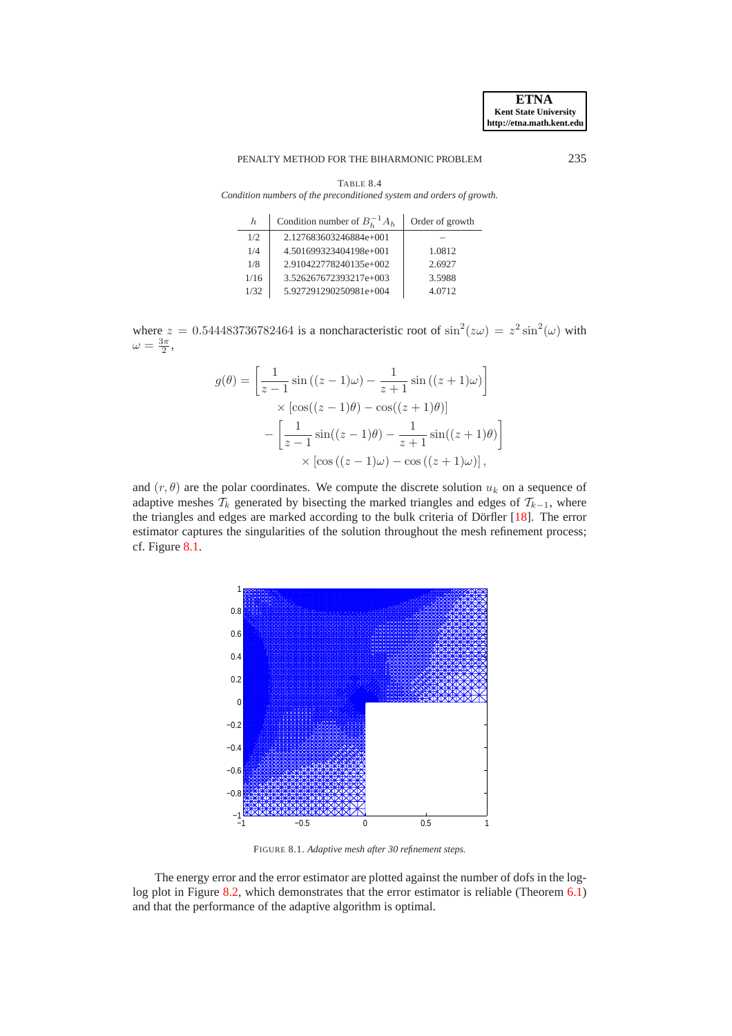### PENALTY METHOD FOR THE BIHARMONIC PROBLEM 235

| BL.<br>н. |
|-----------|
|-----------|

<span id="page-21-0"></span>*Condition numbers of the preconditioned system and orders of growth.*

| h.   | Condition number of $B_h^{-1}A_h$ | Order of growth |
|------|-----------------------------------|-----------------|
| 1/2  | 2.127683603246884e+001            |                 |
| 1/4  | 4.501699323404198e+001            | 1.0812          |
| 1/8  | 2.910422778240135e+002            | 2.6927          |
| 1/16 | 3.526267672393217e+003            | 3.5988          |
| 1/32 | 5.927291290250981e+004            | 4.0712          |

where  $z = 0.544483736782464$  is a noncharacteristic root of  $\sin^2(z\omega) = z^2 \sin^2(\omega)$  with  $\omega = \frac{3\pi}{2},$ 

$$
g(\theta) = \left[\frac{1}{z-1}\sin((z-1)\omega) - \frac{1}{z+1}\sin((z+1)\omega)\right]
$$

$$
\times \left[\cos((z-1)\theta) - \cos((z+1)\theta)\right]
$$

$$
-\left[\frac{1}{z-1}\sin((z-1)\theta) - \frac{1}{z+1}\sin((z+1)\theta)\right]
$$

$$
\times \left[\cos((z-1)\omega) - \cos((z+1)\omega)\right],
$$

and  $(r, \theta)$  are the polar coordinates. We compute the discrete solution  $u_k$  on a sequence of adaptive meshes  $\mathcal{T}_k$  generated by bisecting the marked triangles and edges of  $\mathcal{T}_{k-1}$ , where the triangles and edges are marked according to the bulk criteria of Dörfler [[18](#page-23-22)]. The error estimator captures the singularities of the solution throughout the mesh refinement process; cf. Figure [8.1.](#page-21-1)



<span id="page-21-1"></span>FIGURE 8.1. *Adaptive mesh after 30 refinement steps.*

The energy error and the error estimator are plotted against the number of dofs in the log-log plot in Figure [8.2,](#page-22-1) which demonstrates that the error estimator is reliable (Theorem [6.1\)](#page-13-6) and that the performance of the adaptive algorithm is optimal.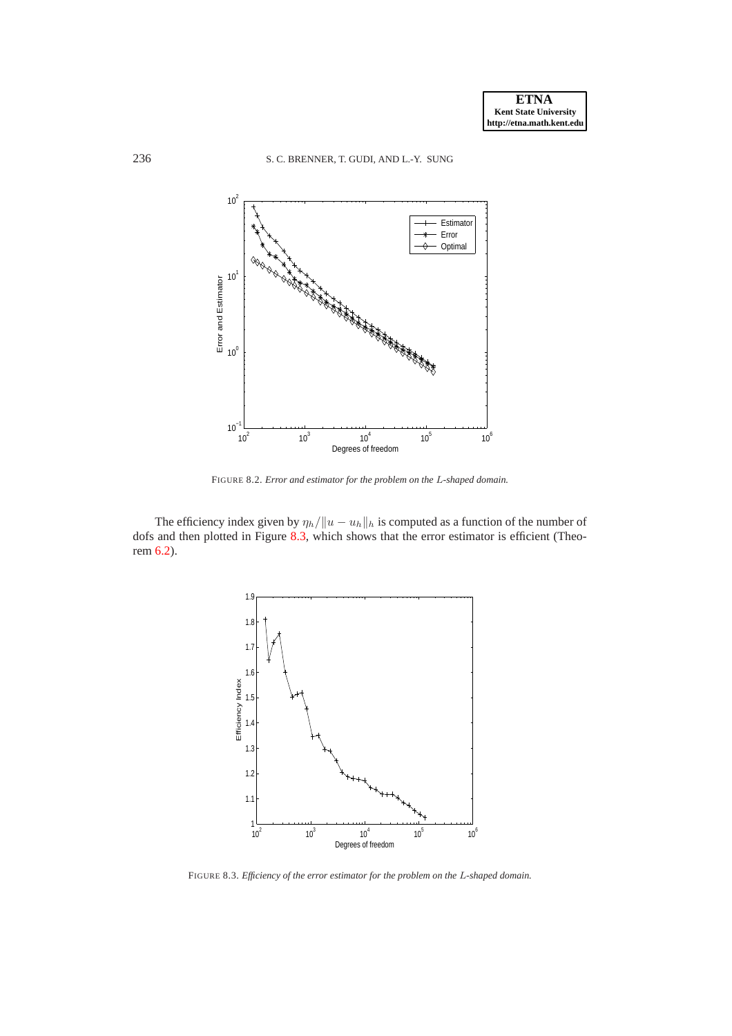

<span id="page-22-1"></span>FIGURE 8.2. *Error and estimator for the problem on the* L*-shaped domain.*

The efficiency index given by  $\eta_h/||u - u_h||_h$  is computed as a function of the number of dofs and then plotted in Figure [8.3,](#page-22-2) which shows that the error estimator is efficient (Theorem [6.2\)](#page-13-7).



<span id="page-22-2"></span><span id="page-22-0"></span>FIGURE 8.3. *Efficiency of the error estimator for the problem on the* L*-shaped domain.*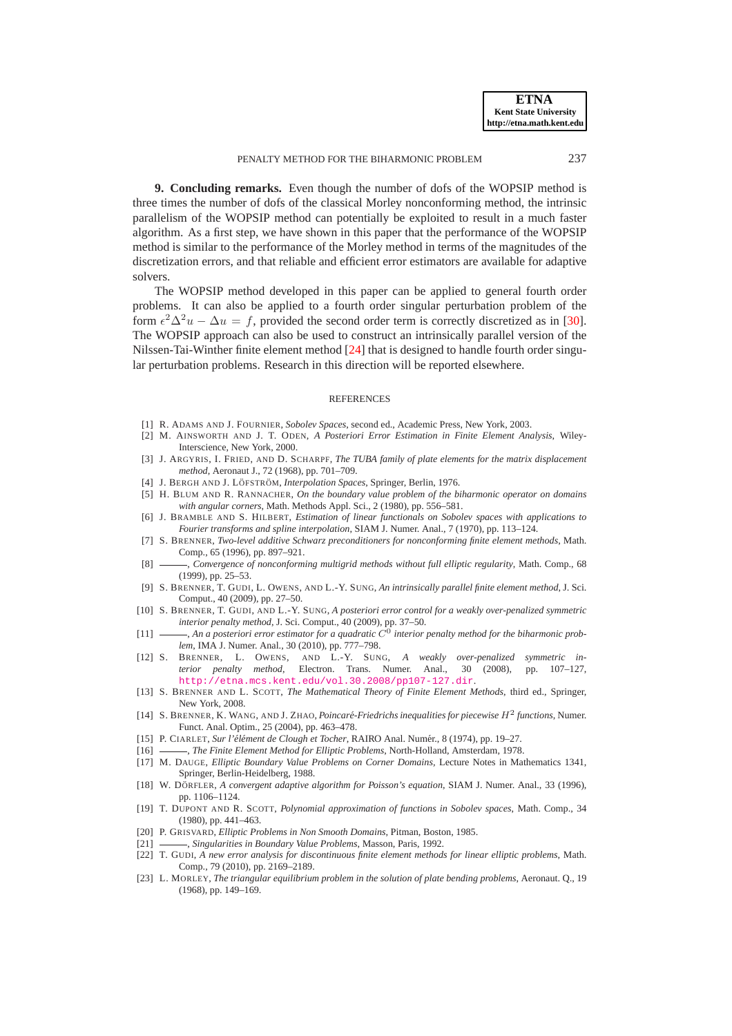**9. Concluding remarks.** Even though the number of dofs of the WOPSIP method is three times the number of dofs of the classical Morley nonconforming method, the intrinsic parallelism of the WOPSIP method can potentially be exploited to result in a much faster algorithm. As a first step, we have shown in this paper that the performance of the WOPSIP method is similar to the performance of the Morley method in terms of the magnitudes of the discretization errors, and that reliable and efficient error estimators are available for adaptive solvers.

The WOPSIP method developed in this paper can be applied to general fourth order problems. It can also be applied to a fourth order singular perturbation problem of the form  $\epsilon^2 \Delta^2 u - \Delta u = f$ , provided the second order term is correctly discretized as in [\[30](#page-24-5)]. The WOPSIP approach can also be used to construct an intrinsically parallel version of the Nilssen-Tai-Winther finite element method [\[24\]](#page-24-6) that is designed to handle fourth order singular perturbation problems. Research in this direction will be reported elsewhere.

#### **REFERENCES**

- <span id="page-23-3"></span>[1] R. ADAMS AND J. FOURNIER, *Sobolev Spaces*, second ed., Academic Press, New York, 2003.
- <span id="page-23-16"></span>[2] M. AINSWORTH AND J. T. ODEN, *A Posteriori Error Estimation in Finite Element Analysis*, Wiley-Interscience, New York, 2000.
- <span id="page-23-5"></span>[3] J. ARGYRIS, I. FRIED, AND D. SCHARPF, *The TUBA family of plate elements for the matrix displacement method*, Aeronaut J., 72 (1968), pp. 701–709.
- <span id="page-23-21"></span>[4] J. BERGH AND J. LÖFSTRÖM, *Interpolation Spaces*, Springer, Berlin, 1976.
- <span id="page-23-17"></span>[5] H. BLUM AND R. RANNACHER, *On the boundary value problem of the biharmonic operator on domains with angular corners*, Math. Methods Appl. Sci., 2 (1980), pp. 556–581.
- <span id="page-23-10"></span>[6] J. BRAMBLE AND S. HILBERT, *Estimation of linear functionals on Sobolev spaces with applications to Fourier transforms and spline interpolation*, SIAM J. Numer. Anal., 7 (1970), pp. 113–124.
- <span id="page-23-13"></span>[7] S. BRENNER, *Two-level additive Schwarz preconditioners for nonconforming finite element methods*, Math. Comp., 65 (1996), pp. 897–921.
- <span id="page-23-12"></span>[8]  $\longrightarrow$ , *Convergence of nonconforming multigrid methods without full elliptic regularity*, Math. Comp., 68 (1999), pp. 25–53.
- <span id="page-23-0"></span>[9] S. BRENNER, T. GUDI, L. OWENS, AND L.-Y. SUNG, *An intrinsically parallel finite element method*, J. Sci. Comput., 40 (2009), pp. 27–50.
- <span id="page-23-1"></span>[10] S. BRENNER, T. GUDI, AND L.-Y. SUNG, *A posteriori error control for a weakly over-penalized symmetric interior penalty method*, J. Sci. Comput., 40 (2009), pp. 37–50.
- <span id="page-23-14"></span>[11]  $\_\_\_\_$ , An a posteriori error estimator for a quadratic  $C^0$  interior penalty method for the biharmonic prob*lem*, IMA J. Numer. Anal., 30 (2010), pp. 777–798.
- <span id="page-23-2"></span>[12] S. BRENNER, L. OWENS, AND L.-Y. SUNG, *A weakly over-penalized symmetric interior penalty method*, Electron. Trans. Numer. Anal., 30 (2008), pp. 107–127, <http://etna.mcs.kent.edu/vol.30.2008/pp107-127.dir>.
- <span id="page-23-8"></span>[13] S. BRENNER AND L. SCOTT, *The Mathematical Theory of Finite Element Methods*, third ed., Springer, New York, 2008.
- <span id="page-23-9"></span>[14] S. BRENNER, K. WANG, AND J. ZHAO, *Poincaré-Friedrichs inequalities for piecewise*  $H^2$  *functions*, Numer. Funct. Anal. Optim., 25 (2004), pp. 463–478.
- <span id="page-23-6"></span>[15] P. CIARLET, *Sur l'élément de Clough et Tocher*, RAIRO Anal. Numér., 8 (1974), pp. 19–27.
- <span id="page-23-4"></span>[16] , *The Finite Element Method for Elliptic Problems*, North-Holland, Amsterdam, 1978.
- <span id="page-23-18"></span>[17] M. DAUGE, *Elliptic Boundary Value Problems on Corner Domains,* Lecture Notes in Mathematics 1341, Springer, Berlin-Heidelberg, 1988.
- <span id="page-23-22"></span>[18] W. DÖRFLER, *A convergent adaptive algorithm for Poisson's equation*, SIAM J. Numer. Anal., 33 (1996), pp. 1106–1124.
- <span id="page-23-11"></span>[19] T. DUPONT AND R. SCOTT, *Polynomial approximation of functions in Sobolev spaces*, Math. Comp., 34 (1980), pp. 441–463.
- <span id="page-23-19"></span>[20] P. GRISVARD, *Elliptic Problems in Non Smooth Domains*, Pitman, Boston, 1985.
- <span id="page-23-20"></span>[21] , *Singularities in Boundary Value Problems*, Masson, Paris, 1992.
- <span id="page-23-15"></span>[22] T. GUDI, *A new error analysis for discontinuous finite element methods for linear elliptic problems*, Math. Comp., 79 (2010), pp. 2169–2189.
- <span id="page-23-7"></span>[23] L. MORLEY, *The triangular equilibrium problem in the solution of plate bending problems*, Aeronaut. Q., 19 (1968), pp. 149–169.